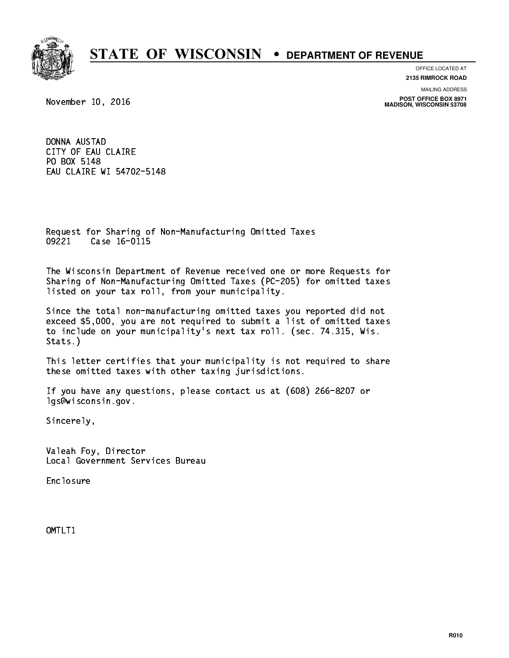

**OFFICE LOCATED AT**

**2135 RIMROCK ROAD**

**MAILING ADDRESS**

**POST OFFICE BOX 8971 MADISON, WISCONSIN 53708**

November 10, 2016

 DONNA AUSTAD CITY OF EAU CLAIRE PO BOX 5148 PO BOX 5148 EAU CLAIRE WI 54702-5148

 Request for Sharing of Non-Manufacturing Omitted Taxes 09221 Case 16-0115

 The Wisconsin Department of Revenue received one or more Requests for Sharing of Non-Manufacturing Omitted Taxes (PC-205) for omitted taxes listed on your tax roll, from your municipality.

 Since the total non-manufacturing omitted taxes you reported did not exceed \$5,000, you are not required to submit a list of omitted taxes to include on your municipality's next tax roll. (sec. 74.315, Wis. Stats.)

 This letter certifies that your municipality is not required to share these omitted taxes with other taxing jurisdictions.

 If you have any questions, please contact us at (608) 266-8207 or lgs@wisconsin.gov.

Sincerely,

 Valeah Foy, Director Local Government Services Bureau

Enclosure Enclosure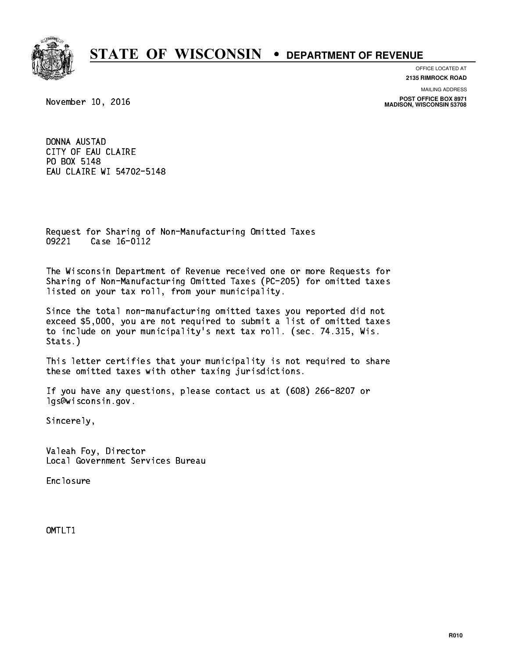

**OFFICE LOCATED AT**

**2135 RIMROCK ROAD**

**MAILING ADDRESS**

**POST OFFICE BOX 8971 MADISON, WISCONSIN 53708**

November 10, 2016

 DONNA AUSTAD CITY OF EAU CLAIRE PO BOX 5148 PO BOX 5148 EAU CLAIRE WI 54702-5148

 Request for Sharing of Non-Manufacturing Omitted Taxes 09221 Case 16-0112 09221 Case 16-0112

 The Wisconsin Department of Revenue received one or more Requests for Sharing of Non-Manufacturing Omitted Taxes (PC-205) for omitted taxes listed on your tax roll, from your municipality.

 Since the total non-manufacturing omitted taxes you reported did not exceed \$5,000, you are not required to submit a list of omitted taxes to include on your municipality's next tax roll. (sec. 74.315, Wis. Stats.)

 This letter certifies that your municipality is not required to share these omitted taxes with other taxing jurisdictions.

 If you have any questions, please contact us at (608) 266-8207 or lgs@wisconsin.gov.

Sincerely,

 Valeah Foy, Director Local Government Services Bureau

Enclosure Enclosure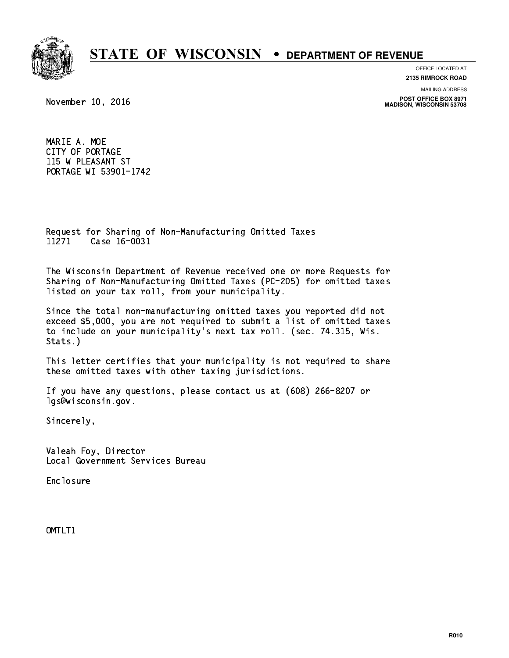

**OFFICE LOCATED AT**

**2135 RIMROCK ROAD**

**MAILING ADDRESS**

**POST OFFICE BOX 8971 MADISON, WISCONSIN 53708**

November 10, 2016

 MARIE A. MOE CITY OF PORTAGE 115 W PLEASANT ST PORTAGE WI 53901-1742

 Request for Sharing of Non-Manufacturing Omitted Taxes 11271 Case 16-0031 1**1272 Case 16-0031** 

 The Wisconsin Department of Revenue received one or more Requests for Sharing of Non-Manufacturing Omitted Taxes (PC-205) for omitted taxes listed on your tax roll, from your municipality.

 Since the total non-manufacturing omitted taxes you reported did not exceed \$5,000, you are not required to submit a list of omitted taxes to include on your municipality's next tax roll. (sec. 74.315, Wis. Stats.)

 This letter certifies that your municipality is not required to share these omitted taxes with other taxing jurisdictions.

 If you have any questions, please contact us at (608) 266-8207 or lgs@wisconsin.gov.

Sincerely,

 Valeah Foy, Director Local Government Services Bureau

Enclosure Enclosure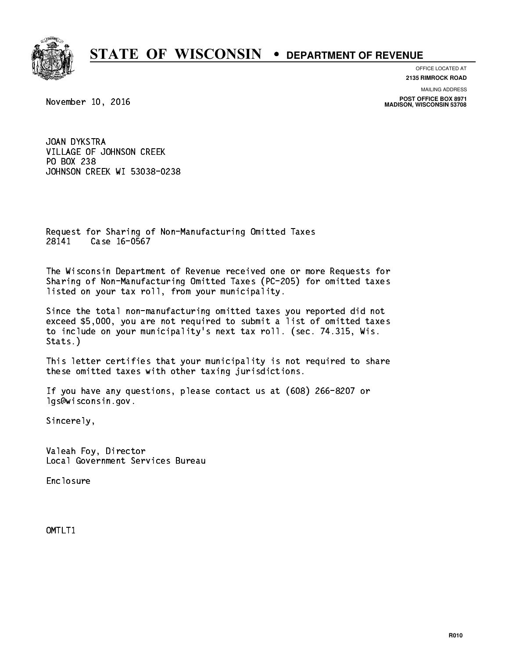

**OFFICE LOCATED AT 2135 RIMROCK ROAD**

**MAILING ADDRESS**

**POST OFFICE BOX 8971 MADISON, WISCONSIN 53708**

November 10, 2016

 JOAN DYKSTRA VILLAGE OF JOHNSON CREEK PO BOX 238 PO BOX 238 JOHNSON CREEK WI 53038-0238

 Request for Sharing of Non-Manufacturing Omitted Taxes 28141 Case 16-0567 281 Case 16-06-06

 The Wisconsin Department of Revenue received one or more Requests for Sharing of Non-Manufacturing Omitted Taxes (PC-205) for omitted taxes listed on your tax roll, from your municipality.

 Since the total non-manufacturing omitted taxes you reported did not exceed \$5,000, you are not required to submit a list of omitted taxes to include on your municipality's next tax roll. (sec. 74.315, Wis. Stats.)

 This letter certifies that your municipality is not required to share these omitted taxes with other taxing jurisdictions.

 If you have any questions, please contact us at (608) 266-8207 or lgs@wisconsin.gov.

Sincerely,

 Valeah Foy, Director Local Government Services Bureau

Enclosure Enclosure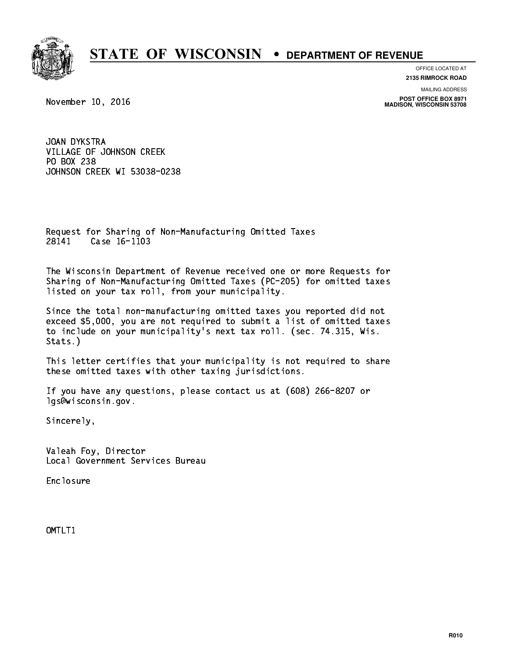

**OFFICE LOCATED AT 2135 RIMROCK ROAD**

**MAILING ADDRESS**

**POST OFFICE BOX 8971 MADISON, WISCONSIN 53708**

November 10, 2016

 JOAN DYKSTRA VILLAGE OF JOHNSON CREEK PO BOX 238 PO BOX 238 JOHNSON CREEK WI 53038-0238

 Request for Sharing of Non-Manufacturing Omitted Taxes 28141 Case 16-1103 281 Case 16-1103

 The Wisconsin Department of Revenue received one or more Requests for Sharing of Non-Manufacturing Omitted Taxes (PC-205) for omitted taxes listed on your tax roll, from your municipality.

 Since the total non-manufacturing omitted taxes you reported did not exceed \$5,000, you are not required to submit a list of omitted taxes to include on your municipality's next tax roll. (sec. 74.315, Wis. Stats.)

 This letter certifies that your municipality is not required to share these omitted taxes with other taxing jurisdictions.

 If you have any questions, please contact us at (608) 266-8207 or lgs@wisconsin.gov.

Sincerely,

 Valeah Foy, Director Local Government Services Bureau

Enclosure Enclosure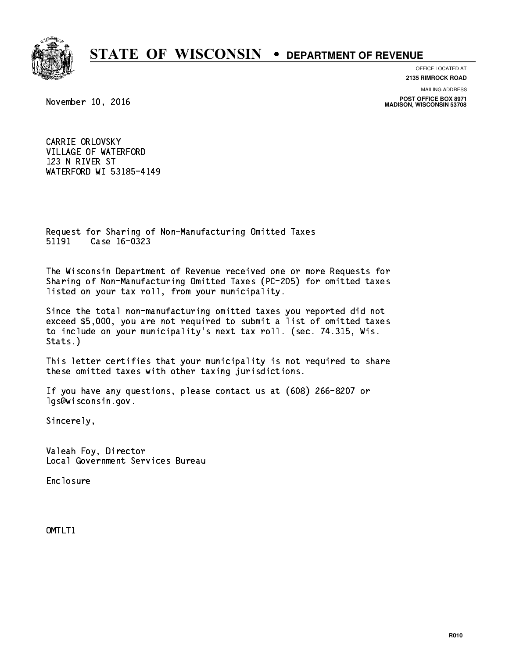

**OFFICE LOCATED AT 2135 RIMROCK ROAD**

**MAILING ADDRESS**

November 10, 2016

**POST OFFICE BOX 8971 MADISON, WISCONSIN 53708**

 CARRIE ORLOVSKY VILLAGE OF WATERFORD 123 N RIVER ST WATERFORD WI 53185-4149

 Request for Sharing of Non-Manufacturing Omitted Taxes 51191 Case 16-0323 51191 Case 16-0323

 The Wisconsin Department of Revenue received one or more Requests for Sharing of Non-Manufacturing Omitted Taxes (PC-205) for omitted taxes listed on your tax roll, from your municipality.

 Since the total non-manufacturing omitted taxes you reported did not exceed \$5,000, you are not required to submit a list of omitted taxes to include on your municipality's next tax roll. (sec. 74.315, Wis. Stats.)

 This letter certifies that your municipality is not required to share these omitted taxes with other taxing jurisdictions.

 If you have any questions, please contact us at (608) 266-8207 or lgs@wisconsin.gov.

Sincerely,

 Valeah Foy, Director Local Government Services Bureau

Enclosure Enclosure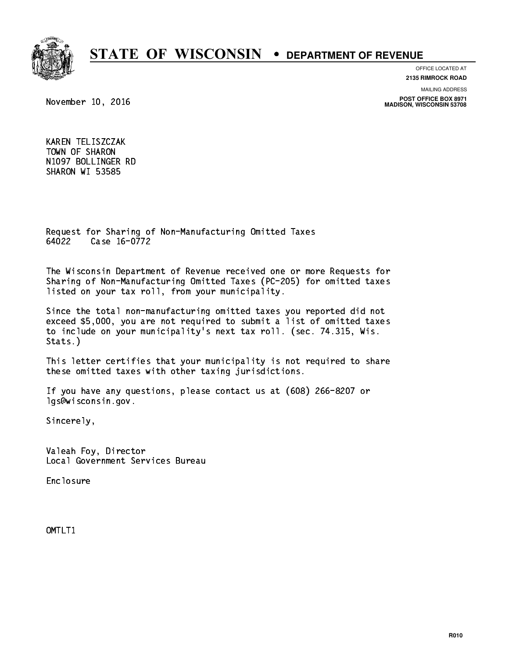

**OFFICE LOCATED AT**

**2135 RIMROCK ROAD**

**MAILING ADDRESS**

**POST OFFICE BOX 8971 MADISON, WISCONSIN 53708**

November 10, 2016

 KAREN TELISZCZAK TOWN OF SHARON N1097 BOLLINGER RD SHARON WI 53585

 Request for Sharing of Non-Manufacturing Omitted Taxes 64022 Case 16-0772 64022 Case 16-0772

 The Wisconsin Department of Revenue received one or more Requests for Sharing of Non-Manufacturing Omitted Taxes (PC-205) for omitted taxes listed on your tax roll, from your municipality.

 Since the total non-manufacturing omitted taxes you reported did not exceed \$5,000, you are not required to submit a list of omitted taxes to include on your municipality's next tax roll. (sec. 74.315, Wis. Stats.)

 This letter certifies that your municipality is not required to share these omitted taxes with other taxing jurisdictions.

 If you have any questions, please contact us at (608) 266-8207 or lgs@wisconsin.gov.

Sincerely,

 Valeah Foy, Director Local Government Services Bureau

Enclosure Enclosure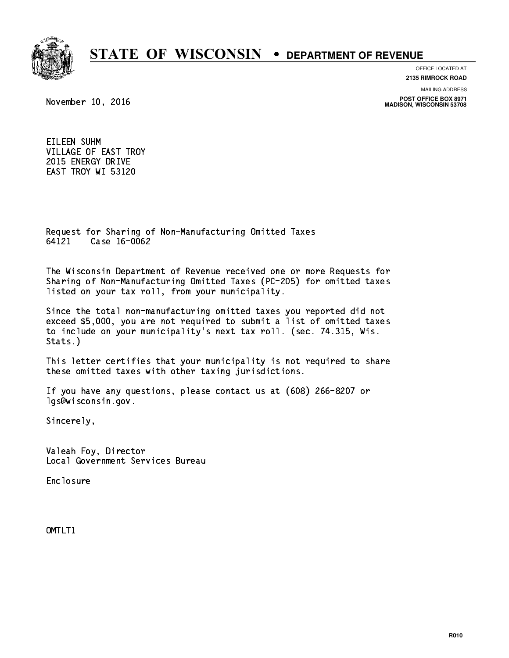

**OFFICE LOCATED AT**

**2135 RIMROCK ROAD**

November 10, 2016

**MAILING ADDRESS**

**POST OFFICE BOX 8971 MADISON, WISCONSIN 53708**

 EILEEN SUHM VILLAGE OF EAST TROY 2015 ENERGY DRIVE EAST TROY WI 53120

 Request for Sharing of Non-Manufacturing Omitted Taxes 64121 Case 16-0062 641 Case 16-0062

 The Wisconsin Department of Revenue received one or more Requests for Sharing of Non-Manufacturing Omitted Taxes (PC-205) for omitted taxes listed on your tax roll, from your municipality.

 Since the total non-manufacturing omitted taxes you reported did not exceed \$5,000, you are not required to submit a list of omitted taxes to include on your municipality's next tax roll. (sec. 74.315, Wis. Stats.)

 This letter certifies that your municipality is not required to share these omitted taxes with other taxing jurisdictions.

 If you have any questions, please contact us at (608) 266-8207 or lgs@wisconsin.gov.

Sincerely,

 Valeah Foy, Director Local Government Services Bureau

Enclosure Enclosure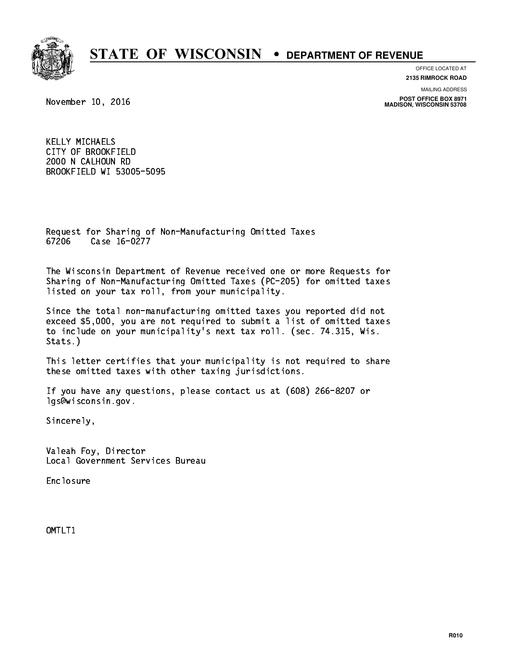

**OFFICE LOCATED AT**

**2135 RIMROCK ROAD**

**MAILING ADDRESS**

**POST OFFICE BOX 8971 MADISON, WISCONSIN 53708**

November 10, 2016

 KELLY MICHAELS CITY OF BROOKFIELD 2000 N CALHOUN RD BROOKFIELD WI 53005-5095

 Request for Sharing of Non-Manufacturing Omitted Taxes 67206 Case 16-0277 67206 Case 16-0277

 The Wisconsin Department of Revenue received one or more Requests for Sharing of Non-Manufacturing Omitted Taxes (PC-205) for omitted taxes listed on your tax roll, from your municipality.

 Since the total non-manufacturing omitted taxes you reported did not exceed \$5,000, you are not required to submit a list of omitted taxes to include on your municipality's next tax roll. (sec. 74.315, Wis. Stats.)

 This letter certifies that your municipality is not required to share these omitted taxes with other taxing jurisdictions.

 If you have any questions, please contact us at (608) 266-8207 or lgs@wisconsin.gov.

Sincerely,

 Valeah Foy, Director Local Government Services Bureau

Enclosure Enclosure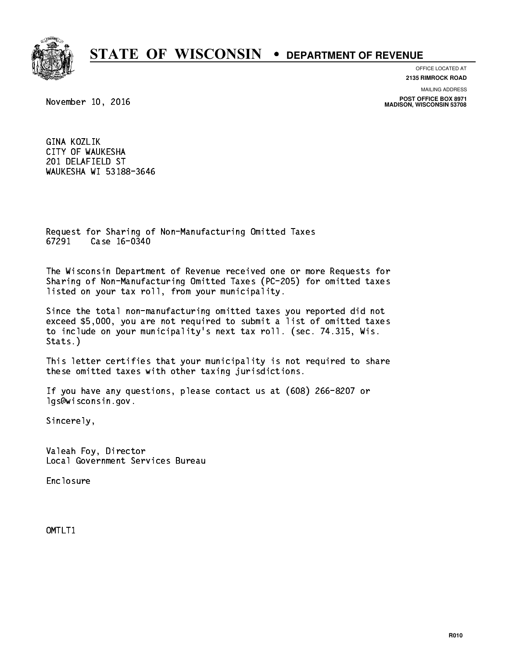

**OFFICE LOCATED AT**

**2135 RIMROCK ROAD**

**MAILING ADDRESS**

**POST OFFICE BOX 8971 MADISON, WISCONSIN 53708**

November 10, 2016

 GINA KOZLIK CITY OF WAUKESHA 201 DELAFIELD ST WAUKESHA WI 53188-3646

 Request for Sharing of Non-Manufacturing Omitted Taxes 67291 Case 16-0340

 The Wisconsin Department of Revenue received one or more Requests for Sharing of Non-Manufacturing Omitted Taxes (PC-205) for omitted taxes listed on your tax roll, from your municipality.

 Since the total non-manufacturing omitted taxes you reported did not exceed \$5,000, you are not required to submit a list of omitted taxes to include on your municipality's next tax roll. (sec. 74.315, Wis. Stats.)

 This letter certifies that your municipality is not required to share these omitted taxes with other taxing jurisdictions.

 If you have any questions, please contact us at (608) 266-8207 or lgs@wisconsin.gov.

Sincerely,

 Valeah Foy, Director Local Government Services Bureau

Enclosure Enclosure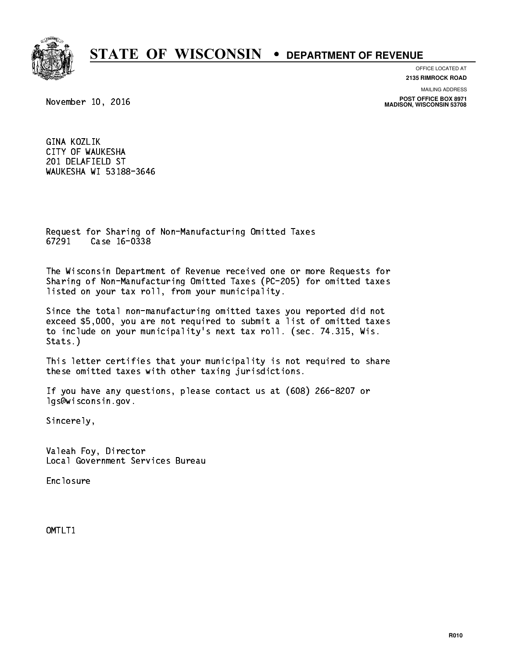

**OFFICE LOCATED AT**

**2135 RIMROCK ROAD**

**MAILING ADDRESS**

November 10, 2016

**POST OFFICE BOX 8971 MADISON, WISCONSIN 53708**

 GINA KOZLIK CITY OF WAUKESHA 201 DELAFIELD ST WAUKESHA WI 53188-3646

 Request for Sharing of Non-Manufacturing Omitted Taxes 67291 Case 16-0338 67291 Case 16-0338

 The Wisconsin Department of Revenue received one or more Requests for Sharing of Non-Manufacturing Omitted Taxes (PC-205) for omitted taxes listed on your tax roll, from your municipality.

 Since the total non-manufacturing omitted taxes you reported did not exceed \$5,000, you are not required to submit a list of omitted taxes to include on your municipality's next tax roll. (sec. 74.315, Wis. Stats.)

 This letter certifies that your municipality is not required to share these omitted taxes with other taxing jurisdictions.

 If you have any questions, please contact us at (608) 266-8207 or lgs@wisconsin.gov.

Sincerely,

 Valeah Foy, Director Local Government Services Bureau

Enclosure Enclosure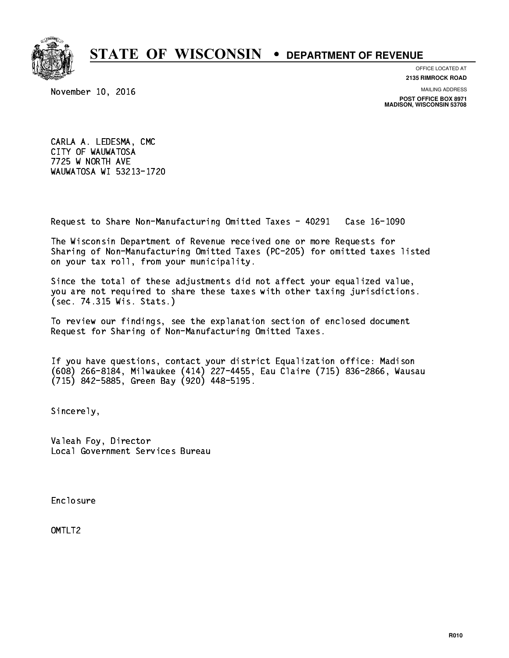

**OFFICE LOCATED AT**

November 10, 2016

**2135 RIMROCK ROAD**

**MAILING ADDRESS**

**POST OFFICE BOX 8971 MADISON, WISCONSIN 53708**

 CARLA A. LEDESMA, CMC CITY OF WAUWATOSA 7725 W NORTH AVE WAUWATOSA WI 53213-1720

Request to Share Non-Manufacturing Omitted Taxes - 40291 Case 16-1090

 The Wisconsin Department of Revenue received one or more Requests for Sharing of Non-Manufacturing Omitted Taxes (PC-205) for omitted taxes listed on your tax roll, from your municipality.

 Since the total of these adjustments did not affect your equalized value, you are not required to share these taxes with other taxing jurisdictions. (sec. 74.315 Wis. Stats.)

 To review our findings, see the explanation section of enclosed document Request for Sharing of Non-Manufacturing Omitted Taxes.

 If you have questions, contact your district Equalization office: Madison (608) 266-8184, Milwaukee (414) 227-4455, Eau Claire (715) 836-2866, Wausau (715) 842-5885, Green Bay (920) 448-5195.

Sincerely,

 Valeah Foy, Director Local Government Services Bureau

Enclosure Enclosure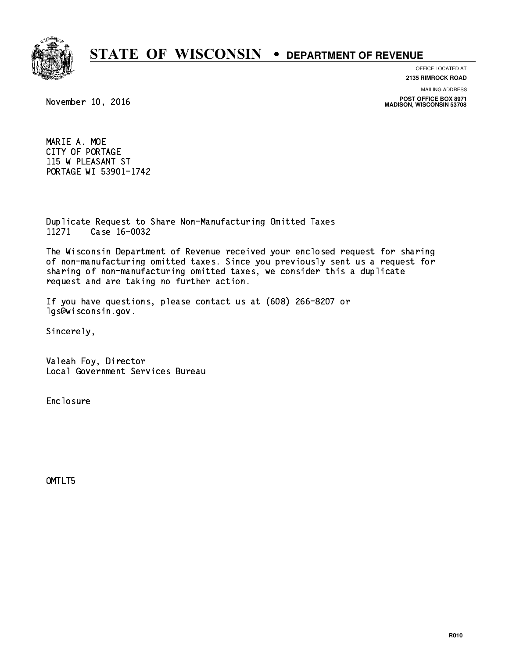

**OFFICE LOCATED AT**

**2135 RIMROCK ROAD**

**MAILING ADDRESS**

**POST OFFICE BOX 8971 MADISON, WISCONSIN 53708**

November 10, 2016

 MARIE A. MOE CITY OF PORTAGE 115 W PLEASANT ST PORTAGE WI 53901-1742

 Duplicate Request to Share Non-Manufacturing Omitted Taxes 11271 Case 16-0032

 The Wisconsin Department of Revenue received your enclosed request for sharing of non-manufacturing omitted taxes. Since you previously sent us a request for sharing of non-manufacturing omitted taxes, we consider this a duplicate request and are taking no further action.

 If you have questions, please contact us at (608) 266-8207 or lgs@wisconsin.gov.

Sincerely,

 Valeah Foy, Director Local Government Services Bureau

Enclosure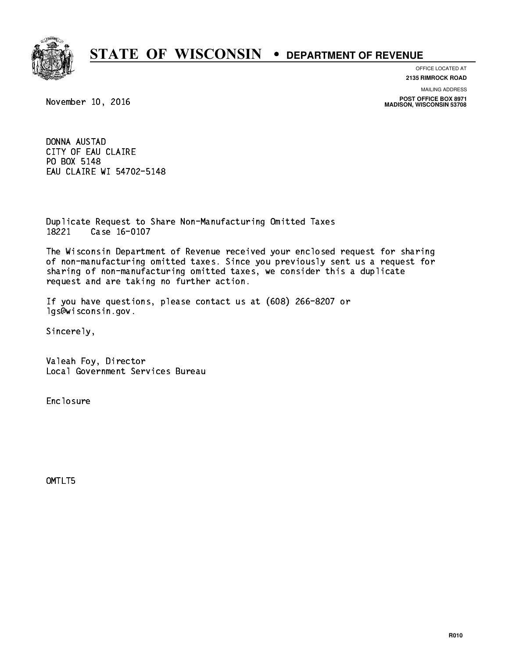an a th . . . ---

# **STATE OF WISCONSIN • DEPARTMENT OF REVENUE**

**OFFICE LOCATED AT**

**2135 RIMROCK ROAD**

**MAILING ADDRESS**

**POST OFFICE BOX 8971 MADISON, WISCONSIN 53708**

November 10, 2016

 DONNA AUSTAD CITY OF EAU CLAIRE PO BOX 5148 EAU CLAIRE WI 54702-5148

 Duplicate Request to Share Non-Manufacturing Omitted Taxes 18221 Case 16-0107

 The Wisconsin Department of Revenue received your enclosed request for sharing of non-manufacturing omitted taxes. Since you previously sent us a request for sharing of non-manufacturing omitted taxes, we consider this a duplicate request and are taking no further action.

 If you have questions, please contact us at (608) 266-8207 or lgs@wisconsin.gov.

Sincerely,

 Valeah Foy, Director Local Government Services Bureau

Enclosure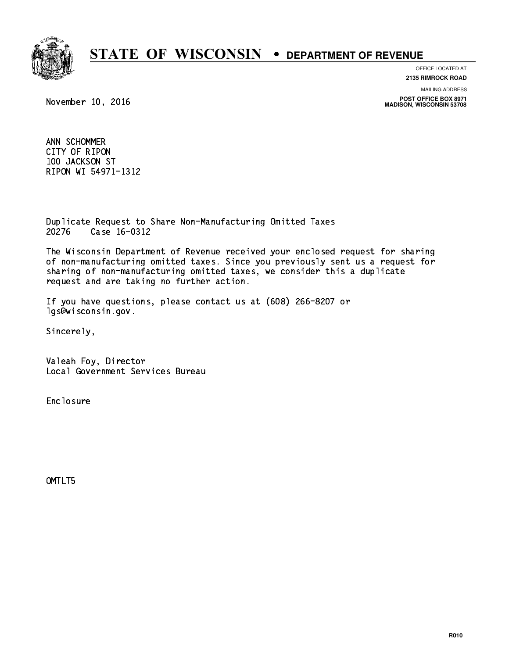

**OFFICE LOCATED AT**

**2135 RIMROCK ROAD**

**MAILING ADDRESS**

**POST OFFICE BOX 8971 MADISON, WISCONSIN 53708**

November 10, 2016

 ANN SCHOMMER CITY OF RIPON 100 JACKSON ST RIPON WI 54971-1312

 Duplicate Request to Share Non-Manufacturing Omitted Taxes 20276 Case 16-0312

 The Wisconsin Department of Revenue received your enclosed request for sharing of non-manufacturing omitted taxes. Since you previously sent us a request for sharing of non-manufacturing omitted taxes, we consider this a duplicate request and are taking no further action.

 If you have questions, please contact us at (608) 266-8207 or lgs@wisconsin.gov.

Sincerely,

 Valeah Foy, Director Local Government Services Bureau

Enclosure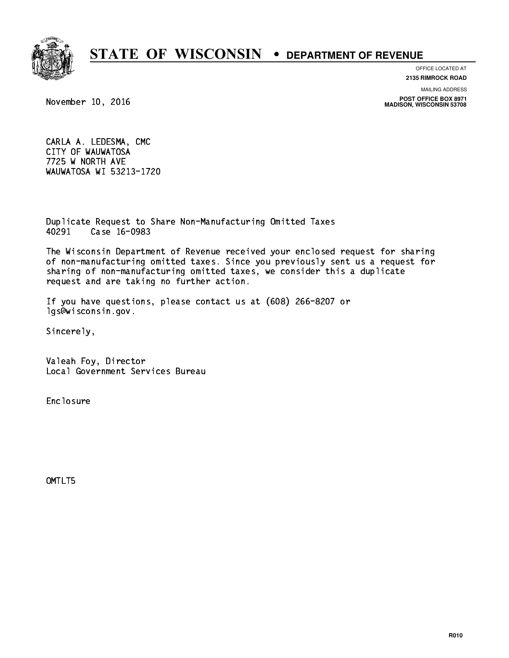

**OFFICE LOCATED AT**

**2135 RIMROCK ROAD**

**MAILING ADDRESS**

**POST OFFICE BOX 8971 MADISON, WISCONSIN 53708**

November 10, 2016

 CARLA A. LEDESMA, CMC CITY OF WAUWATOSA 7725 W NORTH AVE WAUWATOSA WI 53213-1720

 Duplicate Request to Share Non-Manufacturing Omitted Taxes 40291 Case 16-0983

 The Wisconsin Department of Revenue received your enclosed request for sharing of non-manufacturing omitted taxes. Since you previously sent us a request for sharing of non-manufacturing omitted taxes, we consider this a duplicate request and are taking no further action.

 If you have questions, please contact us at (608) 266-8207 or lgs@wisconsin.gov.

Sincerely,

 Valeah Foy, Director Local Government Services Bureau

Enclosure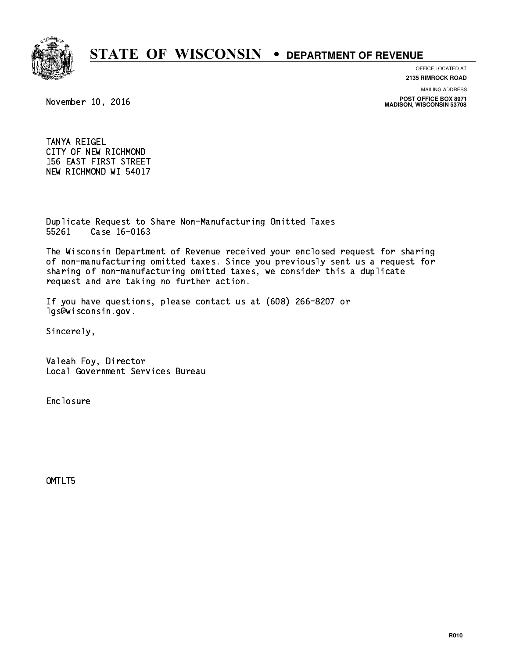

**OFFICE LOCATED AT**

**2135 RIMROCK ROAD**

**MAILING ADDRESS**

**POST OFFICE BOX 8971 MADISON, WISCONSIN 53708**

November 10, 2016

 TANYA REIGEL CITY OF NEW RICHMOND 156 EAST FIRST STREET NEW RICHMOND WI 54017

 Duplicate Request to Share Non-Manufacturing Omitted Taxes 55261 Case 16-0163

 The Wisconsin Department of Revenue received your enclosed request for sharing of non-manufacturing omitted taxes. Since you previously sent us a request for sharing of non-manufacturing omitted taxes, we consider this a duplicate request and are taking no further action.

 If you have questions, please contact us at (608) 266-8207 or lgs@wisconsin.gov.

Sincerely,

 Valeah Foy, Director Local Government Services Bureau

Enclosure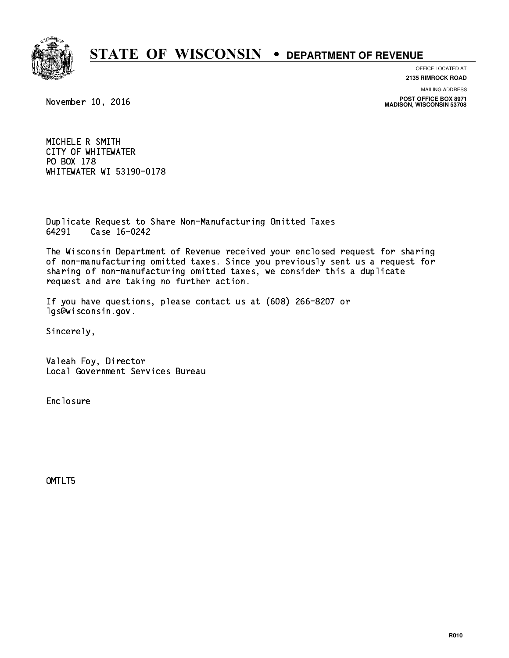

**OFFICE LOCATED AT**

**2135 RIMROCK ROAD**

**MAILING ADDRESS**

**POST OFFICE BOX 8971 MADISON, WISCONSIN 53708**

November 10, 2016

 MICHELE R SMITH CITY OF WHITEWATER PO BOX 178 WHITEWATER WI 53190-0178

 Duplicate Request to Share Non-Manufacturing Omitted Taxes 64291 Case 16-0242

 The Wisconsin Department of Revenue received your enclosed request for sharing of non-manufacturing omitted taxes. Since you previously sent us a request for sharing of non-manufacturing omitted taxes, we consider this a duplicate request and are taking no further action.

 If you have questions, please contact us at (608) 266-8207 or lgs@wisconsin.gov.

Sincerely,

 Valeah Foy, Director Local Government Services Bureau

Enclosure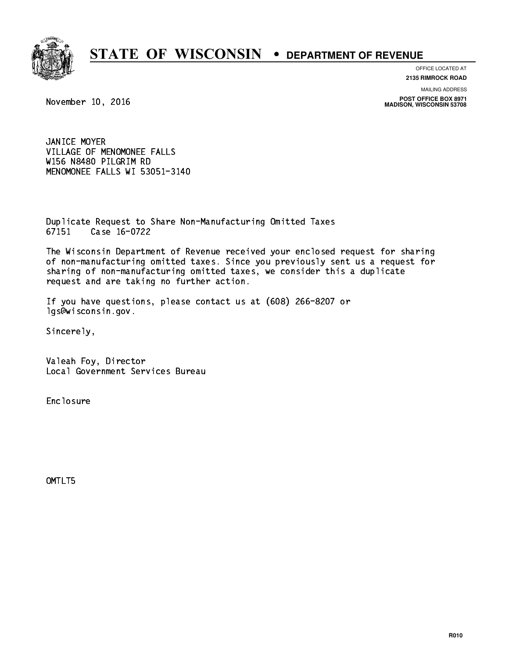

**OFFICE LOCATED AT**

**2135 RIMROCK ROAD**

**MAILING ADDRESS**

**POST OFFICE BOX 8971 MADISON, WISCONSIN 53708**

November 10, 2016

 JANICE MOYER VILLAGE OF MENOMONEE FALLS W156 N8480 PILGRIM RD MENOMONEE FALLS WI 53051-3140

 Duplicate Request to Share Non-Manufacturing Omitted Taxes 67151 Case 16-0722

 The Wisconsin Department of Revenue received your enclosed request for sharing of non-manufacturing omitted taxes. Since you previously sent us a request for sharing of non-manufacturing omitted taxes, we consider this a duplicate request and are taking no further action.

 If you have questions, please contact us at (608) 266-8207 or lgs@wisconsin.gov.

Sincerely,

 Valeah Foy, Director Local Government Services Bureau

Enclosure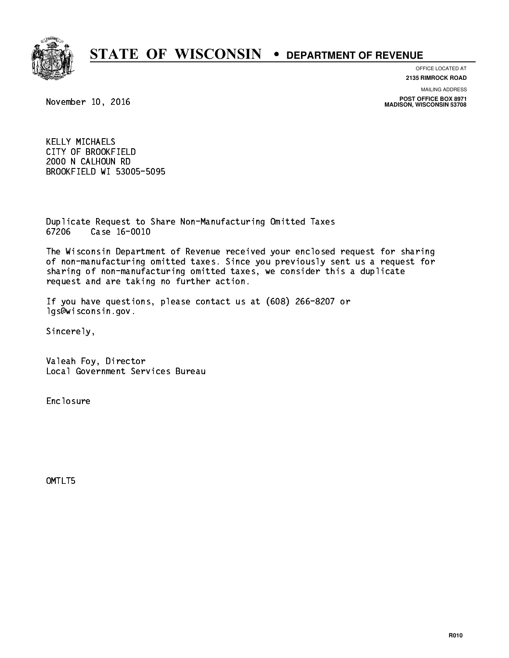

**OFFICE LOCATED AT**

**2135 RIMROCK ROAD**

**MAILING ADDRESS**

**POST OFFICE BOX 8971 MADISON, WISCONSIN 53708**

November 10, 2016

 KELLY MICHAELS CITY OF BROOKFIELD 2000 N CALHOUN RD BROOKFIELD WI 53005-5095

 Duplicate Request to Share Non-Manufacturing Omitted Taxes 67206 Case 16-0010

 The Wisconsin Department of Revenue received your enclosed request for sharing of non-manufacturing omitted taxes. Since you previously sent us a request for sharing of non-manufacturing omitted taxes, we consider this a duplicate request and are taking no further action.

 If you have questions, please contact us at (608) 266-8207 or lgs@wisconsin.gov.

Sincerely,

 Valeah Foy, Director Local Government Services Bureau

Enclosure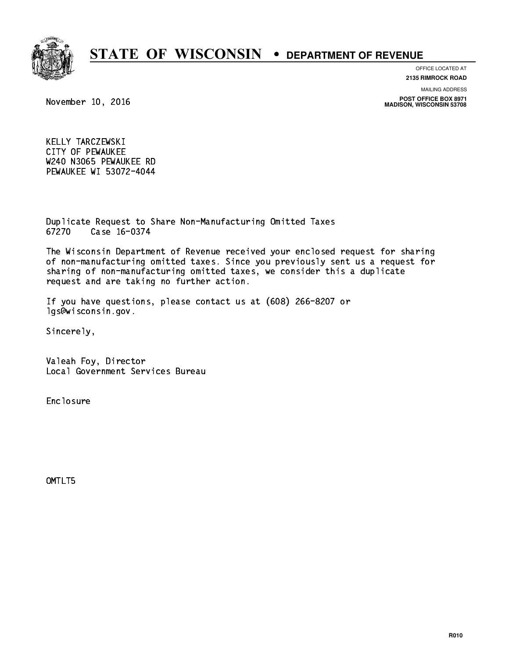

**OFFICE LOCATED AT**

**2135 RIMROCK ROAD**

**MAILING ADDRESS**

**POST OFFICE BOX 8971 MADISON, WISCONSIN 53708**

November 10, 2016

 KELLY TARCZEWSKI CITY OF PEWAUKEE W240 N3065 PEWAUKEE RD PEWAUKEE WI 53072-4044

 Duplicate Request to Share Non-Manufacturing Omitted Taxes 67270 Case 16-0374

 The Wisconsin Department of Revenue received your enclosed request for sharing of non-manufacturing omitted taxes. Since you previously sent us a request for sharing of non-manufacturing omitted taxes, we consider this a duplicate request and are taking no further action.

 If you have questions, please contact us at (608) 266-8207 or lgs@wisconsin.gov.

Sincerely,

 Valeah Foy, Director Local Government Services Bureau

Enclosure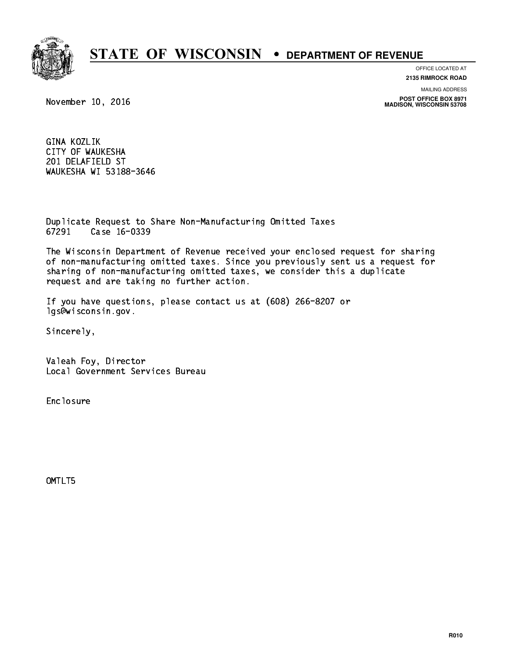

**OFFICE LOCATED AT**

**2135 RIMROCK ROAD**

**MAILING ADDRESS**

**POST OFFICE BOX 8971 MADISON, WISCONSIN 53708**

November 10, 2016

 GINA KOZLIK CITY OF WAUKESHA 201 DELAFIELD ST WAUKESHA WI 53188-3646

 Duplicate Request to Share Non-Manufacturing Omitted Taxes 67291 Case 16-0339

 The Wisconsin Department of Revenue received your enclosed request for sharing of non-manufacturing omitted taxes. Since you previously sent us a request for sharing of non-manufacturing omitted taxes, we consider this a duplicate request and are taking no further action.

 If you have questions, please contact us at (608) 266-8207 or lgs@wisconsin.gov.

Sincerely,

 Valeah Foy, Director Local Government Services Bureau

Enclosure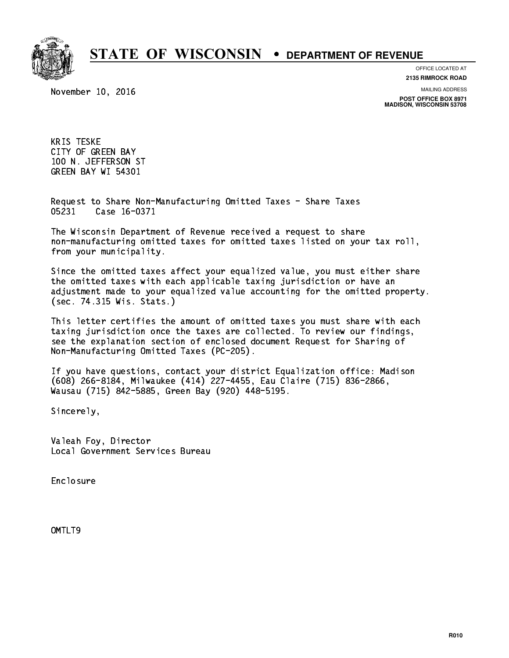

**OFFICE LOCATED AT**

**2135 RIMROCK ROAD**

November 10, 2016

**MAILING ADDRESS**

**POST OFFICE BOX 8971 MADISON, WISCONSIN 53708**

 KRIS TESKE CITY OF GREEN BAY 100 N. JEFFERSON ST GREEN BAY WI 54301

 Request to Share Non-Manufacturing Omitted Taxes - Share Taxes 05231 Case 16-0371

 The Wisconsin Department of Revenue received a request to share non-manufacturing omitted taxes for omitted taxes listed on your tax roll, from your municipality.

 Since the omitted taxes affect your equalized value, you must either share the omitted taxes with each applicable taxing jurisdiction or have an adjustment made to your equalized value accounting for the omitted property. (sec. 74.315 Wis. Stats.)

 This letter certifies the amount of omitted taxes you must share with each taxing jurisdiction once the taxes are collected. To review our findings, see the explanation section of enclosed document Request for Sharing of Non-Manufacturing Omitted Taxes (PC-205).

 If you have questions, contact your district Equalization office: Madison (608) 266-8184, Milwaukee (414) 227-4455, Eau Claire (715) 836-2866, Wausau (715) 842-5885, Green Bay (920) 448-5195.

Sincerely,

 Valeah Foy, Director Local Government Services Bureau

Enclosure Enclosure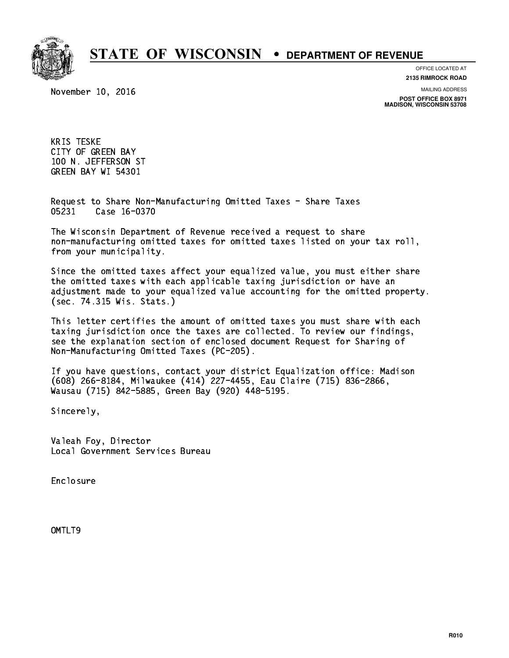

**OFFICE LOCATED AT**

**2135 RIMROCK ROAD**

November 10, 2016

**MAILING ADDRESS**

**POST OFFICE BOX 8971 MADISON, WISCONSIN 53708**

 KRIS TESKE CITY OF GREEN BAY 100 N. JEFFERSON ST GREEN BAY WI 54301

 Request to Share Non-Manufacturing Omitted Taxes - Share Taxes 05231 Case 16-0370

 The Wisconsin Department of Revenue received a request to share non-manufacturing omitted taxes for omitted taxes listed on your tax roll, from your municipality.

 Since the omitted taxes affect your equalized value, you must either share the omitted taxes with each applicable taxing jurisdiction or have an adjustment made to your equalized value accounting for the omitted property. (sec. 74.315 Wis. Stats.)

 This letter certifies the amount of omitted taxes you must share with each taxing jurisdiction once the taxes are collected. To review our findings, see the explanation section of enclosed document Request for Sharing of Non-Manufacturing Omitted Taxes (PC-205).

 If you have questions, contact your district Equalization office: Madison (608) 266-8184, Milwaukee (414) 227-4455, Eau Claire (715) 836-2866, Wausau (715) 842-5885, Green Bay (920) 448-5195.

Sincerely,

 Valeah Foy, Director Local Government Services Bureau

Enclosure Enclosure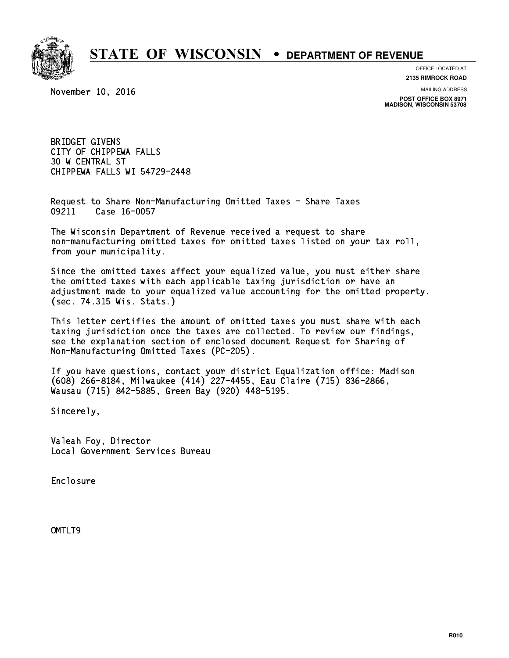

**OFFICE LOCATED AT**

November 10, 2016

**2135 RIMROCK ROAD**

**MAILING ADDRESS**

**POST OFFICE BOX 8971 MADISON, WISCONSIN 53708**

 BRIDGET GIVENS CITY OF CHIPPEWA FALLS 30 W CENTRAL ST CHIPPEWA FALLS WI 54729-2448

 Request to Share Non-Manufacturing Omitted Taxes - Share Taxes 09211 Case 16-0057

 The Wisconsin Department of Revenue received a request to share non-manufacturing omitted taxes for omitted taxes listed on your tax roll, from your municipality.

 Since the omitted taxes affect your equalized value, you must either share the omitted taxes with each applicable taxing jurisdiction or have an adjustment made to your equalized value accounting for the omitted property. (sec. 74.315 Wis. Stats.)

 This letter certifies the amount of omitted taxes you must share with each taxing jurisdiction once the taxes are collected. To review our findings, see the explanation section of enclosed document Request for Sharing of Non-Manufacturing Omitted Taxes (PC-205).

 If you have questions, contact your district Equalization office: Madison (608) 266-8184, Milwaukee (414) 227-4455, Eau Claire (715) 836-2866, Wausau (715) 842-5885, Green Bay (920) 448-5195.

Sincerely,

 Valeah Foy, Director Local Government Services Bureau

Enclosure Enclosure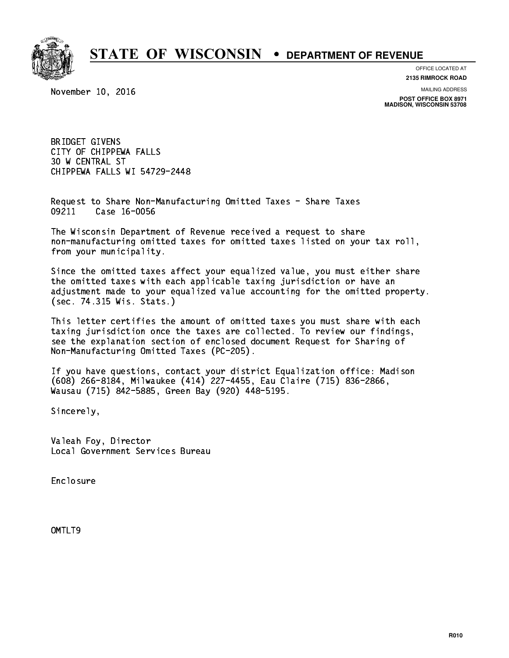

**OFFICE LOCATED AT**

November 10, 2016

**2135 RIMROCK ROAD**

**MAILING ADDRESS**

**POST OFFICE BOX 8971 MADISON, WISCONSIN 53708**

 BRIDGET GIVENS CITY OF CHIPPEWA FALLS 30 W CENTRAL ST CHIPPEWA FALLS WI 54729-2448

 Request to Share Non-Manufacturing Omitted Taxes - Share Taxes 09211 Case 16-0056

 The Wisconsin Department of Revenue received a request to share non-manufacturing omitted taxes for omitted taxes listed on your tax roll, from your municipality.

 Since the omitted taxes affect your equalized value, you must either share the omitted taxes with each applicable taxing jurisdiction or have an adjustment made to your equalized value accounting for the omitted property. (sec. 74.315 Wis. Stats.)

 This letter certifies the amount of omitted taxes you must share with each taxing jurisdiction once the taxes are collected. To review our findings, see the explanation section of enclosed document Request for Sharing of Non-Manufacturing Omitted Taxes (PC-205).

 If you have questions, contact your district Equalization office: Madison (608) 266-8184, Milwaukee (414) 227-4455, Eau Claire (715) 836-2866, Wausau (715) 842-5885, Green Bay (920) 448-5195.

Sincerely,

 Valeah Foy, Director Local Government Services Bureau

Enclosure Enclosure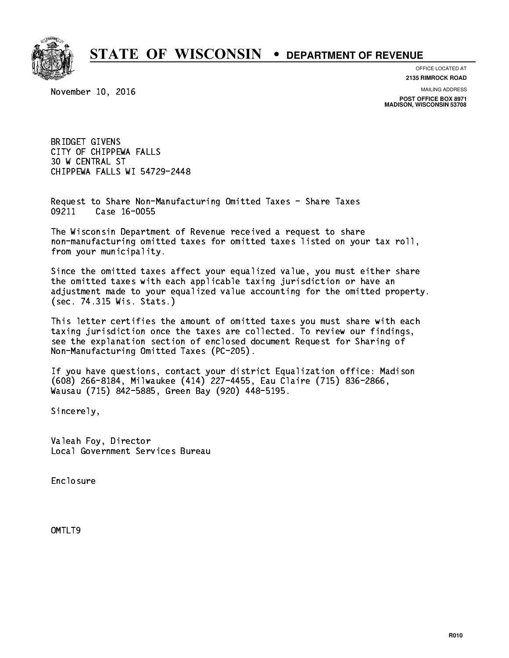

**OFFICE LOCATED AT**

November 10, 2016

**2135 RIMROCK ROAD**

**MAILING ADDRESS**

**POST OFFICE BOX 8971 MADISON, WISCONSIN 53708**

 BRIDGET GIVENS CITY OF CHIPPEWA FALLS 30 W CENTRAL ST CHIPPEWA FALLS WI 54729-2448

 Request to Share Non-Manufacturing Omitted Taxes - Share Taxes 09211 Case 16-0055

 The Wisconsin Department of Revenue received a request to share non-manufacturing omitted taxes for omitted taxes listed on your tax roll, from your municipality.

 Since the omitted taxes affect your equalized value, you must either share the omitted taxes with each applicable taxing jurisdiction or have an adjustment made to your equalized value accounting for the omitted property. (sec. 74.315 Wis. Stats.)

 This letter certifies the amount of omitted taxes you must share with each taxing jurisdiction once the taxes are collected. To review our findings, see the explanation section of enclosed document Request for Sharing of Non-Manufacturing Omitted Taxes (PC-205).

 If you have questions, contact your district Equalization office: Madison (608) 266-8184, Milwaukee (414) 227-4455, Eau Claire (715) 836-2866, Wausau (715) 842-5885, Green Bay (920) 448-5195.

Sincerely,

 Valeah Foy, Director Local Government Services Bureau

Enclosure Enclosure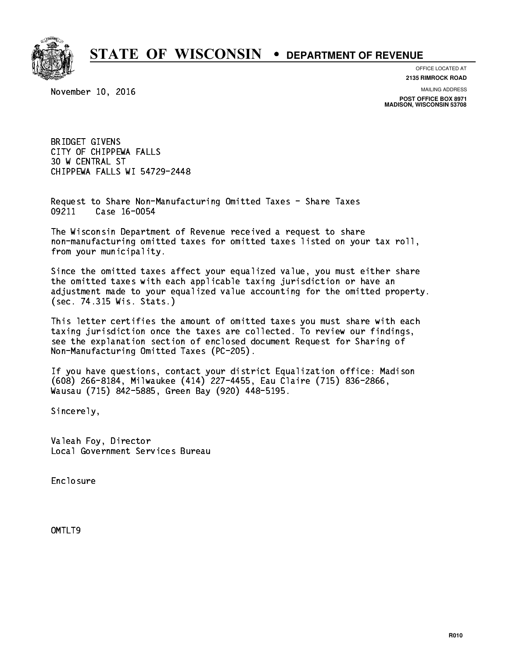

**OFFICE LOCATED AT**

November 10, 2016

**2135 RIMROCK ROAD**

**MAILING ADDRESS**

**POST OFFICE BOX 8971 MADISON, WISCONSIN 53708**

 BRIDGET GIVENS CITY OF CHIPPEWA FALLS 30 W CENTRAL ST CHIPPEWA FALLS WI 54729-2448

 Request to Share Non-Manufacturing Omitted Taxes - Share Taxes 09211 Case 16-0054

 The Wisconsin Department of Revenue received a request to share non-manufacturing omitted taxes for omitted taxes listed on your tax roll, from your municipality.

 Since the omitted taxes affect your equalized value, you must either share the omitted taxes with each applicable taxing jurisdiction or have an adjustment made to your equalized value accounting for the omitted property. (sec. 74.315 Wis. Stats.)

 This letter certifies the amount of omitted taxes you must share with each taxing jurisdiction once the taxes are collected. To review our findings, see the explanation section of enclosed document Request for Sharing of Non-Manufacturing Omitted Taxes (PC-205).

 If you have questions, contact your district Equalization office: Madison (608) 266-8184, Milwaukee (414) 227-4455, Eau Claire (715) 836-2866, Wausau (715) 842-5885, Green Bay (920) 448-5195.

Sincerely,

 Valeah Foy, Director Local Government Services Bureau

Enclosure Enclosure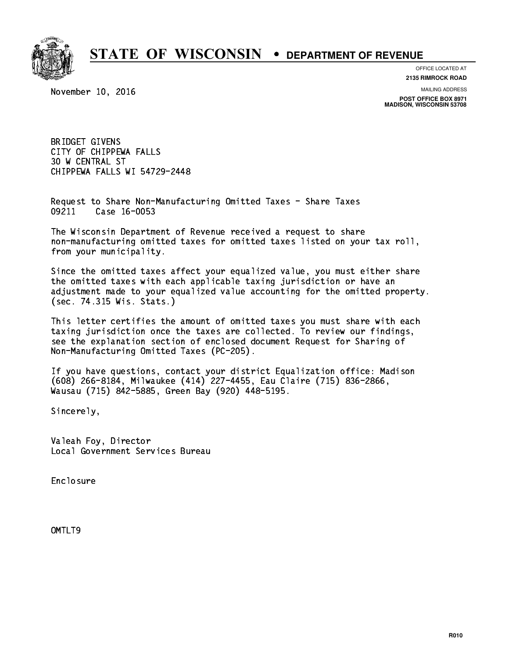

**OFFICE LOCATED AT**

November 10, 2016

**2135 RIMROCK ROAD**

**MAILING ADDRESS**

**POST OFFICE BOX 8971 MADISON, WISCONSIN 53708**

 BRIDGET GIVENS CITY OF CHIPPEWA FALLS 30 W CENTRAL ST CHIPPEWA FALLS WI 54729-2448

 Request to Share Non-Manufacturing Omitted Taxes - Share Taxes 09211 Case 16-0053

 The Wisconsin Department of Revenue received a request to share non-manufacturing omitted taxes for omitted taxes listed on your tax roll, from your municipality.

 Since the omitted taxes affect your equalized value, you must either share the omitted taxes with each applicable taxing jurisdiction or have an adjustment made to your equalized value accounting for the omitted property. (sec. 74.315 Wis. Stats.)

 This letter certifies the amount of omitted taxes you must share with each taxing jurisdiction once the taxes are collected. To review our findings, see the explanation section of enclosed document Request for Sharing of Non-Manufacturing Omitted Taxes (PC-205).

 If you have questions, contact your district Equalization office: Madison (608) 266-8184, Milwaukee (414) 227-4455, Eau Claire (715) 836-2866, Wausau (715) 842-5885, Green Bay (920) 448-5195.

Sincerely,

 Valeah Foy, Director Local Government Services Bureau

Enclosure Enclosure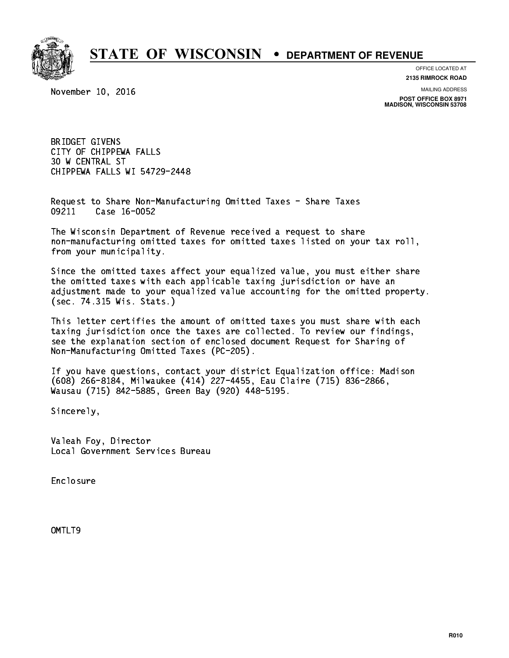

**OFFICE LOCATED AT**

November 10, 2016

**2135 RIMROCK ROAD**

**MAILING ADDRESS**

**POST OFFICE BOX 8971 MADISON, WISCONSIN 53708**

 BRIDGET GIVENS CITY OF CHIPPEWA FALLS 30 W CENTRAL ST CHIPPEWA FALLS WI 54729-2448

 Request to Share Non-Manufacturing Omitted Taxes - Share Taxes 09211 Case 16-0052

 The Wisconsin Department of Revenue received a request to share non-manufacturing omitted taxes for omitted taxes listed on your tax roll, from your municipality.

 Since the omitted taxes affect your equalized value, you must either share the omitted taxes with each applicable taxing jurisdiction or have an adjustment made to your equalized value accounting for the omitted property. (sec. 74.315 Wis. Stats.)

 This letter certifies the amount of omitted taxes you must share with each taxing jurisdiction once the taxes are collected. To review our findings, see the explanation section of enclosed document Request for Sharing of Non-Manufacturing Omitted Taxes (PC-205).

 If you have questions, contact your district Equalization office: Madison (608) 266-8184, Milwaukee (414) 227-4455, Eau Claire (715) 836-2866, Wausau (715) 842-5885, Green Bay (920) 448-5195.

Sincerely,

 Valeah Foy, Director Local Government Services Bureau

Enclosure Enclosure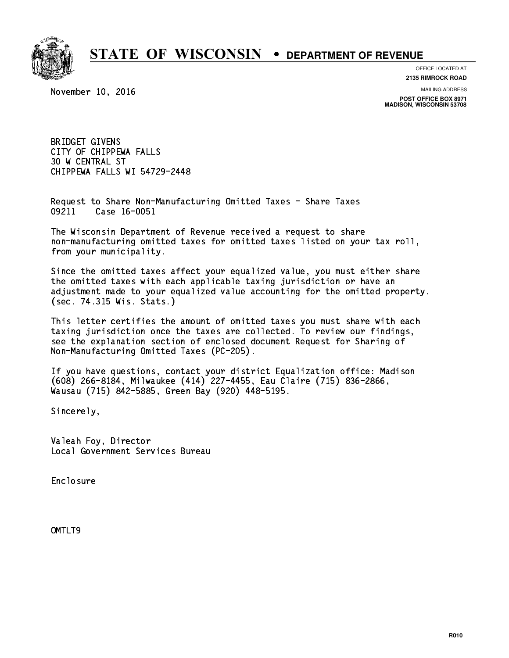

**OFFICE LOCATED AT**

November 10, 2016

**2135 RIMROCK ROAD**

**MAILING ADDRESS**

**POST OFFICE BOX 8971 MADISON, WISCONSIN 53708**

 BRIDGET GIVENS CITY OF CHIPPEWA FALLS 30 W CENTRAL ST CHIPPEWA FALLS WI 54729-2448

 Request to Share Non-Manufacturing Omitted Taxes - Share Taxes 09211 Case 16-0051

 The Wisconsin Department of Revenue received a request to share non-manufacturing omitted taxes for omitted taxes listed on your tax roll, from your municipality.

 Since the omitted taxes affect your equalized value, you must either share the omitted taxes with each applicable taxing jurisdiction or have an adjustment made to your equalized value accounting for the omitted property. (sec. 74.315 Wis. Stats.)

 This letter certifies the amount of omitted taxes you must share with each taxing jurisdiction once the taxes are collected. To review our findings, see the explanation section of enclosed document Request for Sharing of Non-Manufacturing Omitted Taxes (PC-205).

 If you have questions, contact your district Equalization office: Madison (608) 266-8184, Milwaukee (414) 227-4455, Eau Claire (715) 836-2866, Wausau (715) 842-5885, Green Bay (920) 448-5195.

Sincerely,

 Valeah Foy, Director Local Government Services Bureau

Enclosure Enclosure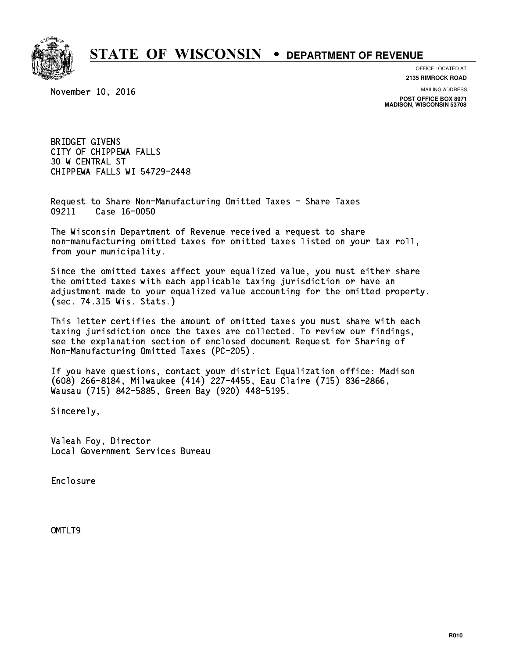

**OFFICE LOCATED AT**

November 10, 2016

**2135 RIMROCK ROAD**

**MAILING ADDRESS**

**POST OFFICE BOX 8971 MADISON, WISCONSIN 53708**

 BRIDGET GIVENS CITY OF CHIPPEWA FALLS 30 W CENTRAL ST CHIPPEWA FALLS WI 54729-2448

 Request to Share Non-Manufacturing Omitted Taxes - Share Taxes 09211 Case 16-0050

 The Wisconsin Department of Revenue received a request to share non-manufacturing omitted taxes for omitted taxes listed on your tax roll, from your municipality.

 Since the omitted taxes affect your equalized value, you must either share the omitted taxes with each applicable taxing jurisdiction or have an adjustment made to your equalized value accounting for the omitted property. (sec. 74.315 Wis. Stats.)

 This letter certifies the amount of omitted taxes you must share with each taxing jurisdiction once the taxes are collected. To review our findings, see the explanation section of enclosed document Request for Sharing of Non-Manufacturing Omitted Taxes (PC-205).

 If you have questions, contact your district Equalization office: Madison (608) 266-8184, Milwaukee (414) 227-4455, Eau Claire (715) 836-2866, Wausau (715) 842-5885, Green Bay (920) 448-5195.

Sincerely,

 Valeah Foy, Director Local Government Services Bureau

Enclosure Enclosure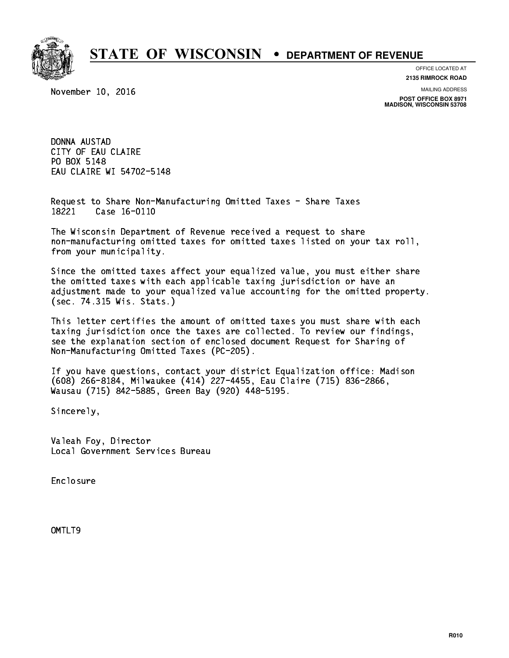

**OFFICE LOCATED AT**

November 10, 2016

**2135 RIMROCK ROAD**

**MAILING ADDRESS**

**POST OFFICE BOX 8971 MADISON, WISCONSIN 53708**

 DONNA AUSTAD CITY OF EAU CLAIRE PO BOX 5148 PO BOX 5148 EAU CLAIRE WI 54702-5148

 Request to Share Non-Manufacturing Omitted Taxes - Share Taxes 18221 Case 16-0110

 The Wisconsin Department of Revenue received a request to share non-manufacturing omitted taxes for omitted taxes listed on your tax roll, from your municipality.

 Since the omitted taxes affect your equalized value, you must either share the omitted taxes with each applicable taxing jurisdiction or have an adjustment made to your equalized value accounting for the omitted property. (sec. 74.315 Wis. Stats.)

 This letter certifies the amount of omitted taxes you must share with each taxing jurisdiction once the taxes are collected. To review our findings, see the explanation section of enclosed document Request for Sharing of Non-Manufacturing Omitted Taxes (PC-205).

 If you have questions, contact your district Equalization office: Madison (608) 266-8184, Milwaukee (414) 227-4455, Eau Claire (715) 836-2866, Wausau (715) 842-5885, Green Bay (920) 448-5195.

Sincerely,

 Valeah Foy, Director Local Government Services Bureau

Enclosure Enclosure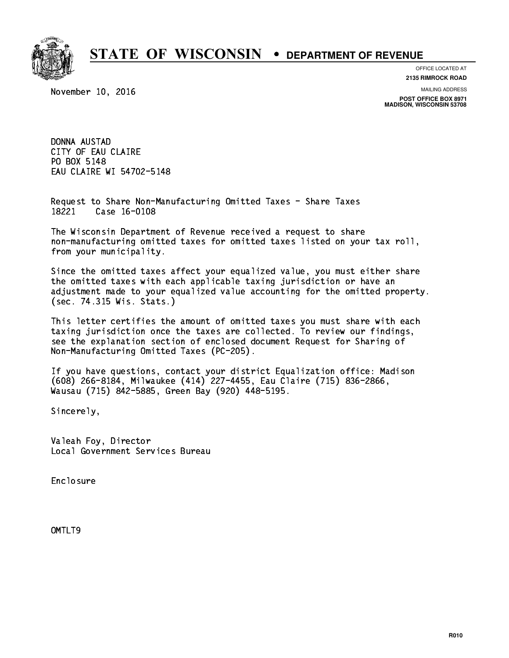

**OFFICE LOCATED AT**

November 10, 2016

**2135 RIMROCK ROAD**

**MAILING ADDRESS**

**POST OFFICE BOX 8971 MADISON, WISCONSIN 53708**

 DONNA AUSTAD CITY OF EAU CLAIRE PO BOX 5148 PO BOX 5148 EAU CLAIRE WI 54702-5148

 Request to Share Non-Manufacturing Omitted Taxes - Share Taxes 18221 Case 16-0108

 The Wisconsin Department of Revenue received a request to share non-manufacturing omitted taxes for omitted taxes listed on your tax roll, from your municipality.

 Since the omitted taxes affect your equalized value, you must either share the omitted taxes with each applicable taxing jurisdiction or have an adjustment made to your equalized value accounting for the omitted property. (sec. 74.315 Wis. Stats.)

 This letter certifies the amount of omitted taxes you must share with each taxing jurisdiction once the taxes are collected. To review our findings, see the explanation section of enclosed document Request for Sharing of Non-Manufacturing Omitted Taxes (PC-205).

 If you have questions, contact your district Equalization office: Madison (608) 266-8184, Milwaukee (414) 227-4455, Eau Claire (715) 836-2866, Wausau (715) 842-5885, Green Bay (920) 448-5195.

Sincerely,

 Valeah Foy, Director Local Government Services Bureau

Enclosure Enclosure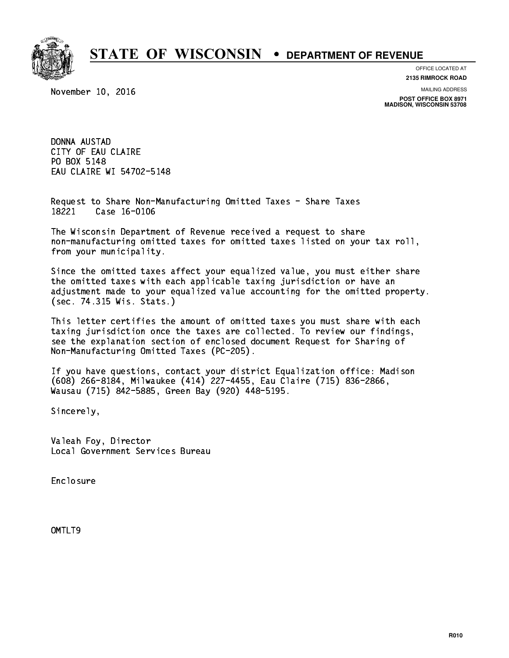

**OFFICE LOCATED AT**

November 10, 2016

**2135 RIMROCK ROAD**

**MAILING ADDRESS**

**POST OFFICE BOX 8971 MADISON, WISCONSIN 53708**

 DONNA AUSTAD CITY OF EAU CLAIRE PO BOX 5148 PO BOX 5148 EAU CLAIRE WI 54702-5148

 Request to Share Non-Manufacturing Omitted Taxes - Share Taxes 18221 Case 16-0106

 The Wisconsin Department of Revenue received a request to share non-manufacturing omitted taxes for omitted taxes listed on your tax roll, from your municipality.

 Since the omitted taxes affect your equalized value, you must either share the omitted taxes with each applicable taxing jurisdiction or have an adjustment made to your equalized value accounting for the omitted property. (sec. 74.315 Wis. Stats.)

 This letter certifies the amount of omitted taxes you must share with each taxing jurisdiction once the taxes are collected. To review our findings, see the explanation section of enclosed document Request for Sharing of Non-Manufacturing Omitted Taxes (PC-205).

 If you have questions, contact your district Equalization office: Madison (608) 266-8184, Milwaukee (414) 227-4455, Eau Claire (715) 836-2866, Wausau (715) 842-5885, Green Bay (920) 448-5195.

Sincerely,

 Valeah Foy, Director Local Government Services Bureau

Enclosure Enclosure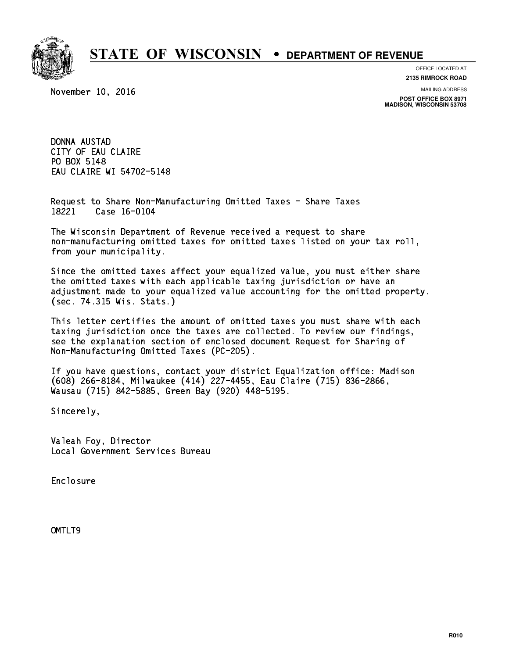

**OFFICE LOCATED AT**

November 10, 2016

**2135 RIMROCK ROAD**

**MAILING ADDRESS**

**POST OFFICE BOX 8971 MADISON, WISCONSIN 53708**

 DONNA AUSTAD CITY OF EAU CLAIRE PO BOX 5148 PO BOX 5148 EAU CLAIRE WI 54702-5148

 Request to Share Non-Manufacturing Omitted Taxes - Share Taxes 18221 Case 16-0104

 The Wisconsin Department of Revenue received a request to share non-manufacturing omitted taxes for omitted taxes listed on your tax roll, from your municipality.

 Since the omitted taxes affect your equalized value, you must either share the omitted taxes with each applicable taxing jurisdiction or have an adjustment made to your equalized value accounting for the omitted property. (sec. 74.315 Wis. Stats.)

 This letter certifies the amount of omitted taxes you must share with each taxing jurisdiction once the taxes are collected. To review our findings, see the explanation section of enclosed document Request for Sharing of Non-Manufacturing Omitted Taxes (PC-205).

 If you have questions, contact your district Equalization office: Madison (608) 266-8184, Milwaukee (414) 227-4455, Eau Claire (715) 836-2866, Wausau (715) 842-5885, Green Bay (920) 448-5195.

Sincerely,

 Valeah Foy, Director Local Government Services Bureau

Enclosure Enclosure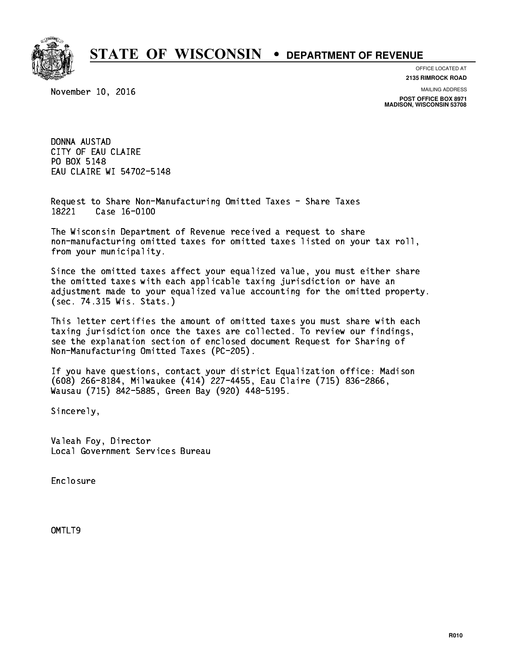

**OFFICE LOCATED AT**

November 10, 2016

**2135 RIMROCK ROAD**

**MAILING ADDRESS**

**POST OFFICE BOX 8971 MADISON, WISCONSIN 53708**

 DONNA AUSTAD CITY OF EAU CLAIRE PO BOX 5148 PO BOX 5148 EAU CLAIRE WI 54702-5148

 Request to Share Non-Manufacturing Omitted Taxes - Share Taxes 18221 Case 16-0100

 The Wisconsin Department of Revenue received a request to share non-manufacturing omitted taxes for omitted taxes listed on your tax roll, from your municipality.

 Since the omitted taxes affect your equalized value, you must either share the omitted taxes with each applicable taxing jurisdiction or have an adjustment made to your equalized value accounting for the omitted property. (sec. 74.315 Wis. Stats.)

 This letter certifies the amount of omitted taxes you must share with each taxing jurisdiction once the taxes are collected. To review our findings, see the explanation section of enclosed document Request for Sharing of Non-Manufacturing Omitted Taxes (PC-205).

 If you have questions, contact your district Equalization office: Madison (608) 266-8184, Milwaukee (414) 227-4455, Eau Claire (715) 836-2866, Wausau (715) 842-5885, Green Bay (920) 448-5195.

Sincerely,

 Valeah Foy, Director Local Government Services Bureau

Enclosure Enclosure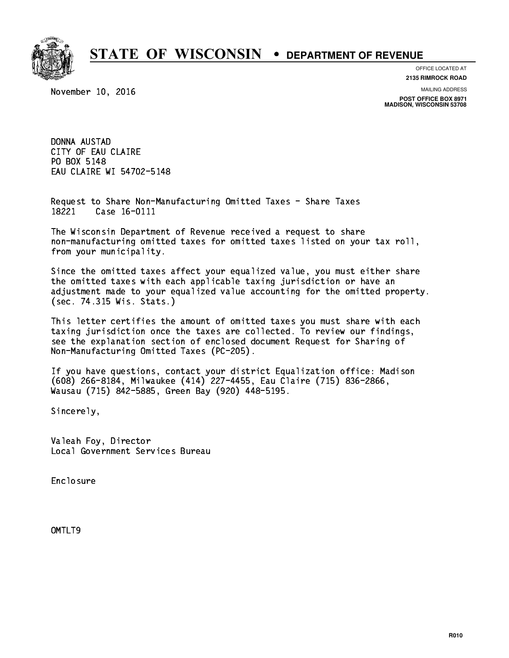

**OFFICE LOCATED AT**

November 10, 2016

**2135 RIMROCK ROAD**

**MAILING ADDRESS**

**POST OFFICE BOX 8971 MADISON, WISCONSIN 53708**

 DONNA AUSTAD CITY OF EAU CLAIRE PO BOX 5148 PO BOX 5148 EAU CLAIRE WI 54702-5148

 Request to Share Non-Manufacturing Omitted Taxes - Share Taxes 18221 Case 16-0111

 The Wisconsin Department of Revenue received a request to share non-manufacturing omitted taxes for omitted taxes listed on your tax roll, from your municipality.

 Since the omitted taxes affect your equalized value, you must either share the omitted taxes with each applicable taxing jurisdiction or have an adjustment made to your equalized value accounting for the omitted property. (sec. 74.315 Wis. Stats.)

 This letter certifies the amount of omitted taxes you must share with each taxing jurisdiction once the taxes are collected. To review our findings, see the explanation section of enclosed document Request for Sharing of Non-Manufacturing Omitted Taxes (PC-205).

 If you have questions, contact your district Equalization office: Madison (608) 266-8184, Milwaukee (414) 227-4455, Eau Claire (715) 836-2866, Wausau (715) 842-5885, Green Bay (920) 448-5195.

Sincerely,

 Valeah Foy, Director Local Government Services Bureau

Enclosure Enclosure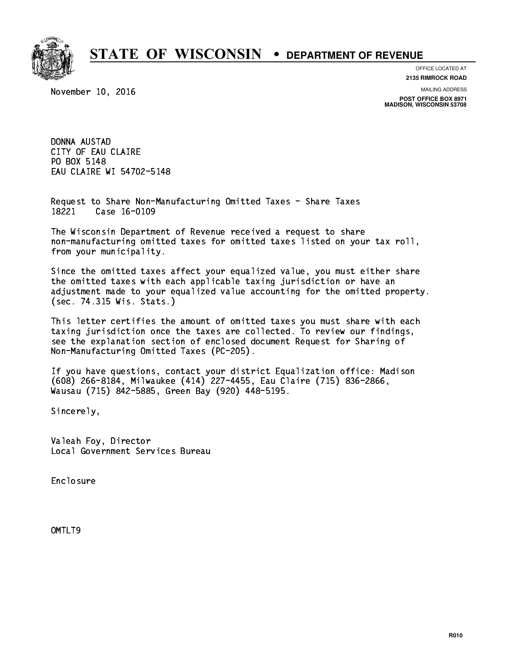

**OFFICE LOCATED AT**

November 10, 2016

**2135 RIMROCK ROAD**

**MAILING ADDRESS**

**POST OFFICE BOX 8971 MADISON, WISCONSIN 53708**

 DONNA AUSTAD CITY OF EAU CLAIRE PO BOX 5148 PO BOX 5148 EAU CLAIRE WI 54702-5148

 Request to Share Non-Manufacturing Omitted Taxes - Share Taxes 18221 Case 16-0109

 The Wisconsin Department of Revenue received a request to share non-manufacturing omitted taxes for omitted taxes listed on your tax roll, from your municipality.

 Since the omitted taxes affect your equalized value, you must either share the omitted taxes with each applicable taxing jurisdiction or have an adjustment made to your equalized value accounting for the omitted property. (sec. 74.315 Wis. Stats.)

 This letter certifies the amount of omitted taxes you must share with each taxing jurisdiction once the taxes are collected. To review our findings, see the explanation section of enclosed document Request for Sharing of Non-Manufacturing Omitted Taxes (PC-205).

 If you have questions, contact your district Equalization office: Madison (608) 266-8184, Milwaukee (414) 227-4455, Eau Claire (715) 836-2866, Wausau (715) 842-5885, Green Bay (920) 448-5195.

Sincerely,

 Valeah Foy, Director Local Government Services Bureau

Enclosure Enclosure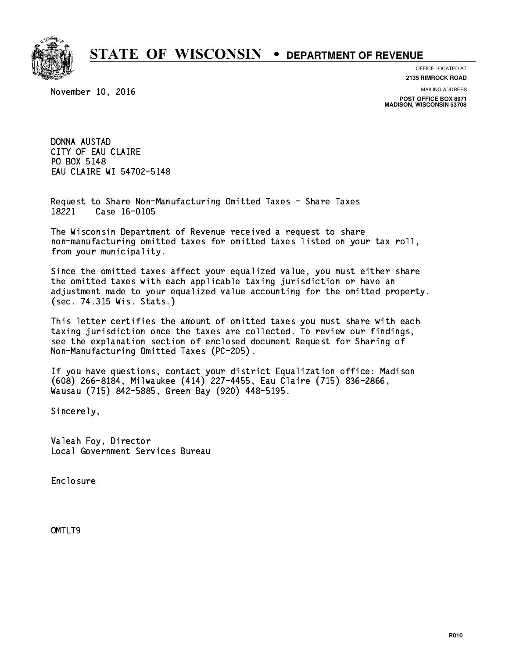

**OFFICE LOCATED AT**

November 10, 2016

**2135 RIMROCK ROAD**

**MAILING ADDRESS**

**POST OFFICE BOX 8971 MADISON, WISCONSIN 53708**

 DONNA AUSTAD CITY OF EAU CLAIRE PO BOX 5148 PO BOX 5148 EAU CLAIRE WI 54702-5148

 Request to Share Non-Manufacturing Omitted Taxes - Share Taxes 18221 Case 16-0105

 The Wisconsin Department of Revenue received a request to share non-manufacturing omitted taxes for omitted taxes listed on your tax roll, from your municipality.

 Since the omitted taxes affect your equalized value, you must either share the omitted taxes with each applicable taxing jurisdiction or have an adjustment made to your equalized value accounting for the omitted property. (sec. 74.315 Wis. Stats.)

 This letter certifies the amount of omitted taxes you must share with each taxing jurisdiction once the taxes are collected. To review our findings, see the explanation section of enclosed document Request for Sharing of Non-Manufacturing Omitted Taxes (PC-205).

 If you have questions, contact your district Equalization office: Madison (608) 266-8184, Milwaukee (414) 227-4455, Eau Claire (715) 836-2866, Wausau (715) 842-5885, Green Bay (920) 448-5195.

Sincerely,

 Valeah Foy, Director Local Government Services Bureau

Enclosure Enclosure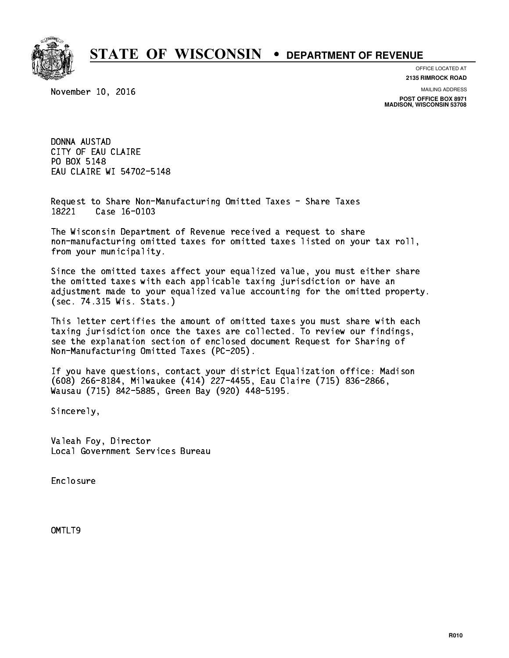

**OFFICE LOCATED AT**

November 10, 2016

**2135 RIMROCK ROAD**

**MAILING ADDRESS**

**POST OFFICE BOX 8971 MADISON, WISCONSIN 53708**

 DONNA AUSTAD CITY OF EAU CLAIRE PO BOX 5148 PO BOX 5148 EAU CLAIRE WI 54702-5148

 Request to Share Non-Manufacturing Omitted Taxes - Share Taxes 18221 Case 16-0103

 The Wisconsin Department of Revenue received a request to share non-manufacturing omitted taxes for omitted taxes listed on your tax roll, from your municipality.

 Since the omitted taxes affect your equalized value, you must either share the omitted taxes with each applicable taxing jurisdiction or have an adjustment made to your equalized value accounting for the omitted property. (sec. 74.315 Wis. Stats.)

 This letter certifies the amount of omitted taxes you must share with each taxing jurisdiction once the taxes are collected. To review our findings, see the explanation section of enclosed document Request for Sharing of Non-Manufacturing Omitted Taxes (PC-205).

 If you have questions, contact your district Equalization office: Madison (608) 266-8184, Milwaukee (414) 227-4455, Eau Claire (715) 836-2866, Wausau (715) 842-5885, Green Bay (920) 448-5195.

Sincerely,

 Valeah Foy, Director Local Government Services Bureau

Enclosure Enclosure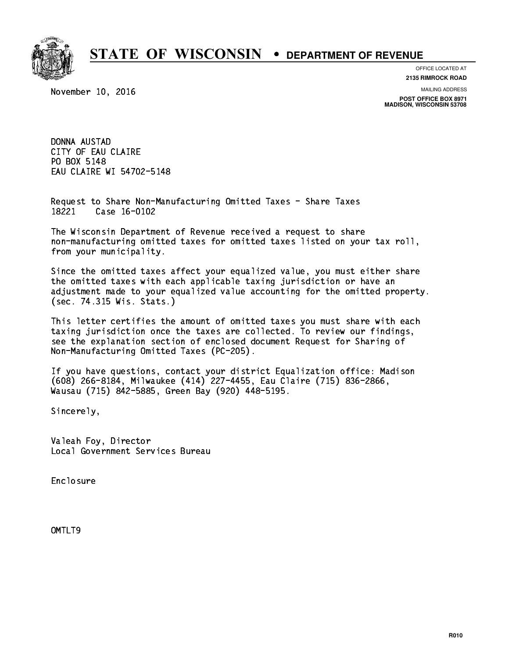

**OFFICE LOCATED AT**

November 10, 2016

**2135 RIMROCK ROAD**

**MAILING ADDRESS**

**POST OFFICE BOX 8971 MADISON, WISCONSIN 53708**

 DONNA AUSTAD CITY OF EAU CLAIRE PO BOX 5148 PO BOX 5148 EAU CLAIRE WI 54702-5148

 Request to Share Non-Manufacturing Omitted Taxes - Share Taxes 18221 Case 16-0102

 The Wisconsin Department of Revenue received a request to share non-manufacturing omitted taxes for omitted taxes listed on your tax roll, from your municipality.

 Since the omitted taxes affect your equalized value, you must either share the omitted taxes with each applicable taxing jurisdiction or have an adjustment made to your equalized value accounting for the omitted property. (sec. 74.315 Wis. Stats.)

 This letter certifies the amount of omitted taxes you must share with each taxing jurisdiction once the taxes are collected. To review our findings, see the explanation section of enclosed document Request for Sharing of Non-Manufacturing Omitted Taxes (PC-205).

 If you have questions, contact your district Equalization office: Madison (608) 266-8184, Milwaukee (414) 227-4455, Eau Claire (715) 836-2866, Wausau (715) 842-5885, Green Bay (920) 448-5195.

Sincerely,

 Valeah Foy, Director Local Government Services Bureau

Enclosure Enclosure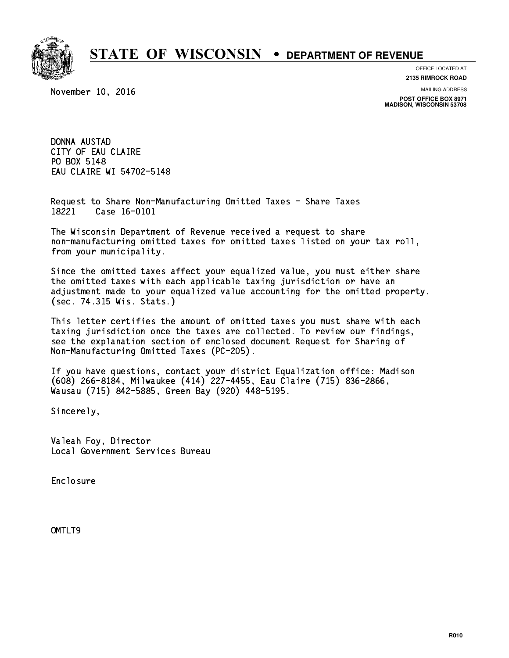

**OFFICE LOCATED AT**

November 10, 2016

**2135 RIMROCK ROAD**

**MAILING ADDRESS**

**POST OFFICE BOX 8971 MADISON, WISCONSIN 53708**

 DONNA AUSTAD CITY OF EAU CLAIRE PO BOX 5148 PO BOX 5148 EAU CLAIRE WI 54702-5148

 Request to Share Non-Manufacturing Omitted Taxes - Share Taxes 18221 Case 16-0101

 The Wisconsin Department of Revenue received a request to share non-manufacturing omitted taxes for omitted taxes listed on your tax roll, from your municipality.

 Since the omitted taxes affect your equalized value, you must either share the omitted taxes with each applicable taxing jurisdiction or have an adjustment made to your equalized value accounting for the omitted property. (sec. 74.315 Wis. Stats.)

 This letter certifies the amount of omitted taxes you must share with each taxing jurisdiction once the taxes are collected. To review our findings, see the explanation section of enclosed document Request for Sharing of Non-Manufacturing Omitted Taxes (PC-205).

 If you have questions, contact your district Equalization office: Madison (608) 266-8184, Milwaukee (414) 227-4455, Eau Claire (715) 836-2866, Wausau (715) 842-5885, Green Bay (920) 448-5195.

Sincerely,

 Valeah Foy, Director Local Government Services Bureau

Enclosure Enclosure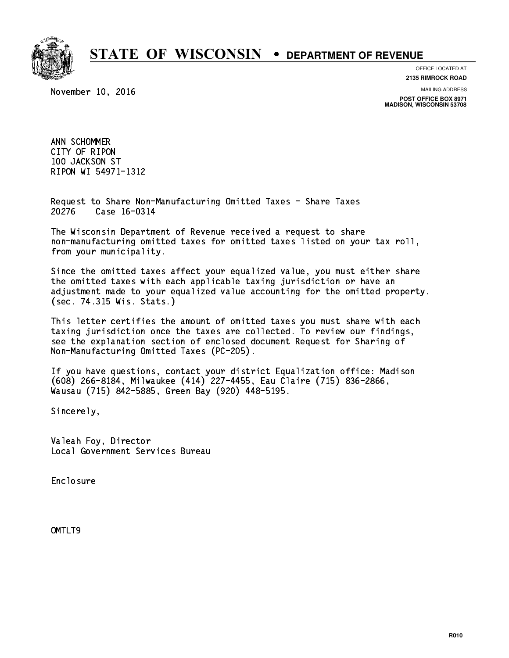

**OFFICE LOCATED AT**

November 10, 2016

**2135 RIMROCK ROAD**

**MAILING ADDRESS**

**POST OFFICE BOX 8971 MADISON, WISCONSIN 53708**

 ANN SCHOMMER CITY OF RIPON 100 JACKSON ST RIPON WI 54971-1312 RIPON WITH STRIP 54972

 Request to Share Non-Manufacturing Omitted Taxes - Share Taxes 20276 Case 16-0314

 The Wisconsin Department of Revenue received a request to share non-manufacturing omitted taxes for omitted taxes listed on your tax roll, from your municipality.

 Since the omitted taxes affect your equalized value, you must either share the omitted taxes with each applicable taxing jurisdiction or have an adjustment made to your equalized value accounting for the omitted property. (sec. 74.315 Wis. Stats.)

 This letter certifies the amount of omitted taxes you must share with each taxing jurisdiction once the taxes are collected. To review our findings, see the explanation section of enclosed document Request for Sharing of Non-Manufacturing Omitted Taxes (PC-205).

 If you have questions, contact your district Equalization office: Madison (608) 266-8184, Milwaukee (414) 227-4455, Eau Claire (715) 836-2866, Wausau (715) 842-5885, Green Bay (920) 448-5195.

Sincerely,

 Valeah Foy, Director Local Government Services Bureau

Enclosure Enclosure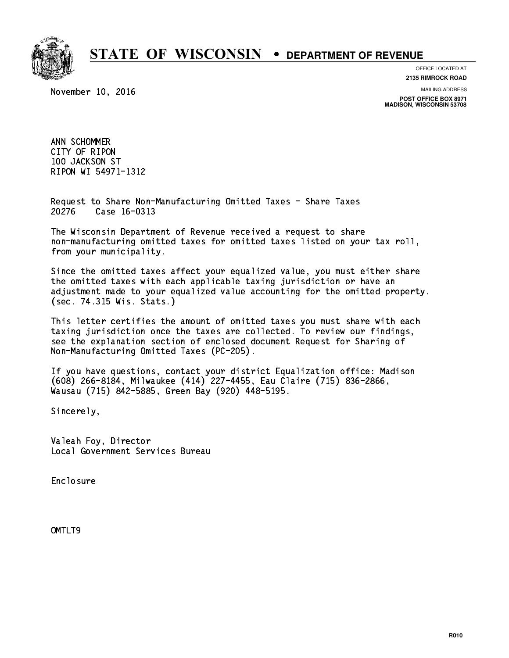

**OFFICE LOCATED AT**

November 10, 2016

**2135 RIMROCK ROAD**

**MAILING ADDRESS**

**POST OFFICE BOX 8971 MADISON, WISCONSIN 53708**

 ANN SCHOMMER CITY OF RIPON 100 JACKSON ST RIPON WI 54971-1312 RIPON WITH STRIP 54972

 Request to Share Non-Manufacturing Omitted Taxes - Share Taxes 20276 Case 16-0313

 The Wisconsin Department of Revenue received a request to share non-manufacturing omitted taxes for omitted taxes listed on your tax roll, from your municipality.

 Since the omitted taxes affect your equalized value, you must either share the omitted taxes with each applicable taxing jurisdiction or have an adjustment made to your equalized value accounting for the omitted property. (sec. 74.315 Wis. Stats.)

 This letter certifies the amount of omitted taxes you must share with each taxing jurisdiction once the taxes are collected. To review our findings, see the explanation section of enclosed document Request for Sharing of Non-Manufacturing Omitted Taxes (PC-205).

 If you have questions, contact your district Equalization office: Madison (608) 266-8184, Milwaukee (414) 227-4455, Eau Claire (715) 836-2866, Wausau (715) 842-5885, Green Bay (920) 448-5195.

Sincerely,

 Valeah Foy, Director Local Government Services Bureau

Enclosure Enclosure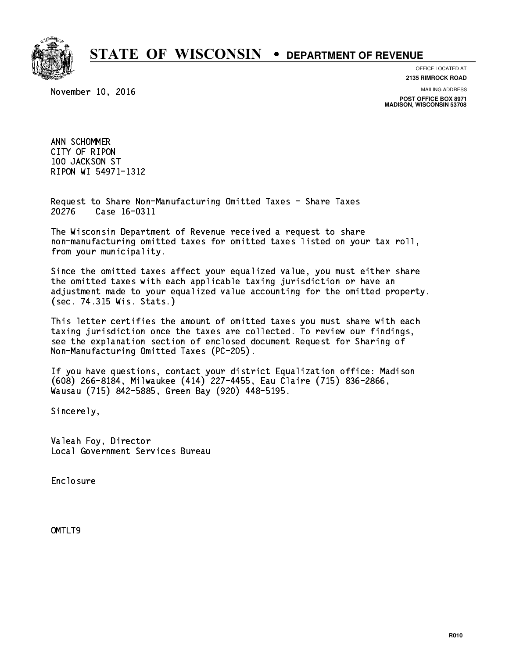

**OFFICE LOCATED AT**

November 10, 2016

**2135 RIMROCK ROAD**

**MAILING ADDRESS**

**POST OFFICE BOX 8971 MADISON, WISCONSIN 53708**

 ANN SCHOMMER CITY OF RIPON 100 JACKSON ST RIPON WI 54971-1312 RIPON WITH STRIP 54972

 Request to Share Non-Manufacturing Omitted Taxes - Share Taxes 20276 Case 16-0311

 The Wisconsin Department of Revenue received a request to share non-manufacturing omitted taxes for omitted taxes listed on your tax roll, from your municipality.

 Since the omitted taxes affect your equalized value, you must either share the omitted taxes with each applicable taxing jurisdiction or have an adjustment made to your equalized value accounting for the omitted property. (sec. 74.315 Wis. Stats.)

 This letter certifies the amount of omitted taxes you must share with each taxing jurisdiction once the taxes are collected. To review our findings, see the explanation section of enclosed document Request for Sharing of Non-Manufacturing Omitted Taxes (PC-205).

 If you have questions, contact your district Equalization office: Madison (608) 266-8184, Milwaukee (414) 227-4455, Eau Claire (715) 836-2866, Wausau (715) 842-5885, Green Bay (920) 448-5195.

Sincerely,

 Valeah Foy, Director Local Government Services Bureau

Enclosure Enclosure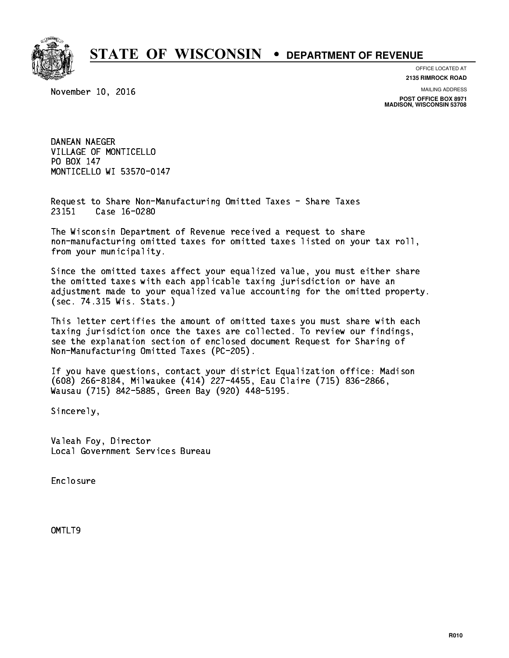

**OFFICE LOCATED AT**

November 10, 2016

**2135 RIMROCK ROAD**

**MAILING ADDRESS**

**POST OFFICE BOX 8971 MADISON, WISCONSIN 53708**

 DANEAN NAEGER VILLAGE OF MONTICELLO PO BOX 147 PO BOX 147 MONTICELLO WI 53570-0147

 Request to Share Non-Manufacturing Omitted Taxes - Share Taxes 23151 Case 16-0280

 The Wisconsin Department of Revenue received a request to share non-manufacturing omitted taxes for omitted taxes listed on your tax roll, from your municipality.

 Since the omitted taxes affect your equalized value, you must either share the omitted taxes with each applicable taxing jurisdiction or have an adjustment made to your equalized value accounting for the omitted property. (sec. 74.315 Wis. Stats.)

 This letter certifies the amount of omitted taxes you must share with each taxing jurisdiction once the taxes are collected. To review our findings, see the explanation section of enclosed document Request for Sharing of Non-Manufacturing Omitted Taxes (PC-205).

 If you have questions, contact your district Equalization office: Madison (608) 266-8184, Milwaukee (414) 227-4455, Eau Claire (715) 836-2866, Wausau (715) 842-5885, Green Bay (920) 448-5195.

Sincerely,

 Valeah Foy, Director Local Government Services Bureau

Enclosure Enclosure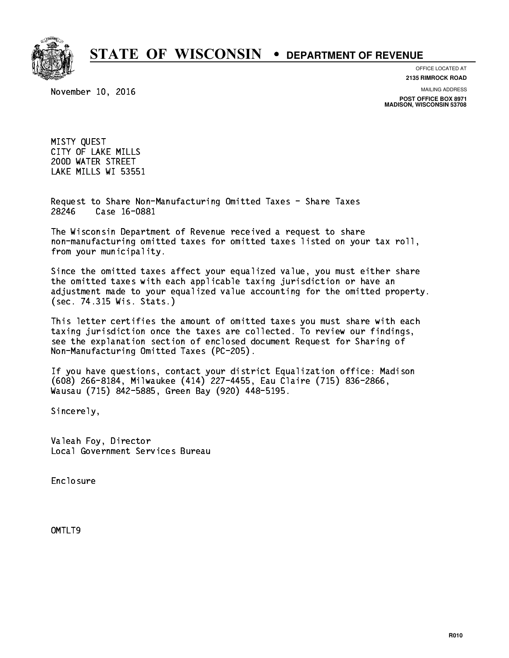

**OFFICE LOCATED AT**

**2135 RIMROCK ROAD**

November 10, 2016

**MAILING ADDRESS**

**POST OFFICE BOX 8971 MADISON, WISCONSIN 53708**

 MISTY QUEST CITY OF LAKE MILLS 200D WATER STREET LAKE MILLS WI 53551

 Request to Share Non-Manufacturing Omitted Taxes - Share Taxes 28246 Case 16-0881

 The Wisconsin Department of Revenue received a request to share non-manufacturing omitted taxes for omitted taxes listed on your tax roll, from your municipality.

 Since the omitted taxes affect your equalized value, you must either share the omitted taxes with each applicable taxing jurisdiction or have an adjustment made to your equalized value accounting for the omitted property. (sec. 74.315 Wis. Stats.)

 This letter certifies the amount of omitted taxes you must share with each taxing jurisdiction once the taxes are collected. To review our findings, see the explanation section of enclosed document Request for Sharing of Non-Manufacturing Omitted Taxes (PC-205).

 If you have questions, contact your district Equalization office: Madison (608) 266-8184, Milwaukee (414) 227-4455, Eau Claire (715) 836-2866, Wausau (715) 842-5885, Green Bay (920) 448-5195.

Sincerely,

 Valeah Foy, Director Local Government Services Bureau

Enclosure Enclosure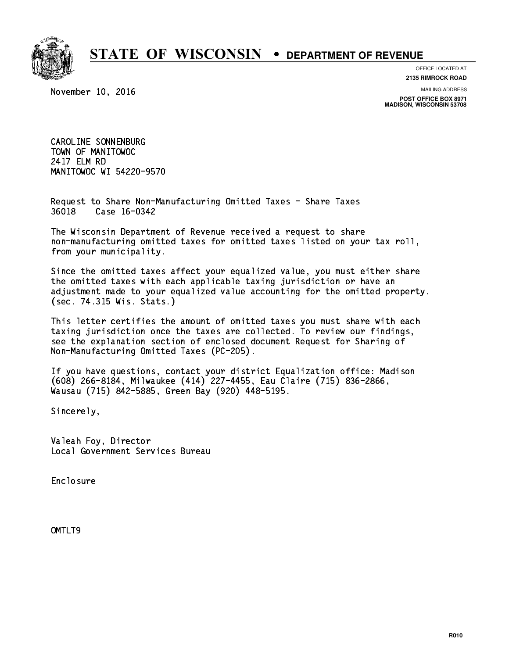

**OFFICE LOCATED AT**

**2135 RIMROCK ROAD**

November 10, 2016

**MAILING ADDRESS**

**POST OFFICE BOX 8971 MADISON, WISCONSIN 53708**

 CAROLINE SONNENBURG TOWN OF MANITOWOC 2417 ELM RD 2417 ELM RD MANITOWOC WI 54220-9570

 Request to Share Non-Manufacturing Omitted Taxes - Share Taxes 36018 Case 16-0342

 The Wisconsin Department of Revenue received a request to share non-manufacturing omitted taxes for omitted taxes listed on your tax roll, from your municipality.

 Since the omitted taxes affect your equalized value, you must either share the omitted taxes with each applicable taxing jurisdiction or have an adjustment made to your equalized value accounting for the omitted property. (sec. 74.315 Wis. Stats.)

 This letter certifies the amount of omitted taxes you must share with each taxing jurisdiction once the taxes are collected. To review our findings, see the explanation section of enclosed document Request for Sharing of Non-Manufacturing Omitted Taxes (PC-205).

 If you have questions, contact your district Equalization office: Madison (608) 266-8184, Milwaukee (414) 227-4455, Eau Claire (715) 836-2866, Wausau (715) 842-5885, Green Bay (920) 448-5195.

Sincerely,

 Valeah Foy, Director Local Government Services Bureau

Enclosure Enclosure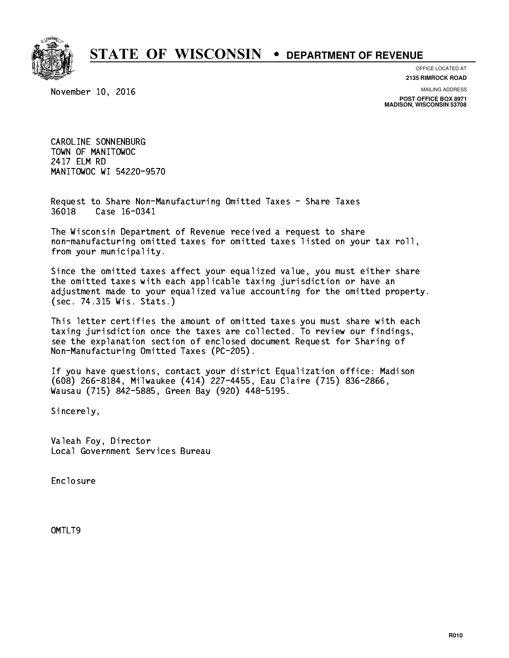

**OFFICE LOCATED AT**

**2135 RIMROCK ROAD**

November 10, 2016

**MAILING ADDRESS**

**POST OFFICE BOX 8971 MADISON, WISCONSIN 53708**

 CAROLINE SONNENBURG TOWN OF MANITOWOC 2417 ELM RD 2417 ELM RD MANITOWOC WI 54220-9570

 Request to Share Non-Manufacturing Omitted Taxes - Share Taxes 36018 Case 16-0341

 The Wisconsin Department of Revenue received a request to share non-manufacturing omitted taxes for omitted taxes listed on your tax roll, from your municipality.

 Since the omitted taxes affect your equalized value, you must either share the omitted taxes with each applicable taxing jurisdiction or have an adjustment made to your equalized value accounting for the omitted property. (sec. 74.315 Wis. Stats.)

 This letter certifies the amount of omitted taxes you must share with each taxing jurisdiction once the taxes are collected. To review our findings, see the explanation section of enclosed document Request for Sharing of Non-Manufacturing Omitted Taxes (PC-205).

 If you have questions, contact your district Equalization office: Madison (608) 266-8184, Milwaukee (414) 227-4455, Eau Claire (715) 836-2866, Wausau (715) 842-5885, Green Bay (920) 448-5195.

Sincerely,

 Valeah Foy, Director Local Government Services Bureau

Enclosure Enclosure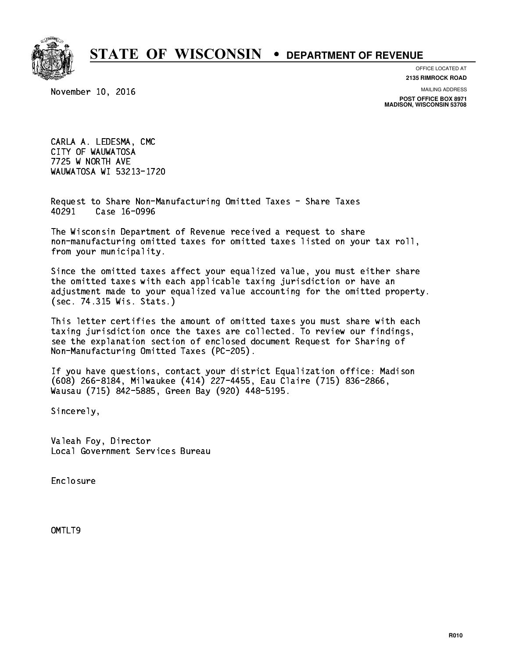

**OFFICE LOCATED AT**

November 10, 2016

**2135 RIMROCK ROAD**

**MAILING ADDRESS**

**POST OFFICE BOX 8971 MADISON, WISCONSIN 53708**

 CARLA A. LEDESMA, CMC CITY OF WAUWATOSA 7725 W NORTH AVE WAUWATOSA WI 53213-1720

 Request to Share Non-Manufacturing Omitted Taxes - Share Taxes 40291 Case 16-0996

 The Wisconsin Department of Revenue received a request to share non-manufacturing omitted taxes for omitted taxes listed on your tax roll, from your municipality.

 Since the omitted taxes affect your equalized value, you must either share the omitted taxes with each applicable taxing jurisdiction or have an adjustment made to your equalized value accounting for the omitted property. (sec. 74.315 Wis. Stats.)

 This letter certifies the amount of omitted taxes you must share with each taxing jurisdiction once the taxes are collected. To review our findings, see the explanation section of enclosed document Request for Sharing of Non-Manufacturing Omitted Taxes (PC-205).

 If you have questions, contact your district Equalization office: Madison (608) 266-8184, Milwaukee (414) 227-4455, Eau Claire (715) 836-2866, Wausau (715) 842-5885, Green Bay (920) 448-5195.

Sincerely,

 Valeah Foy, Director Local Government Services Bureau

Enclosure Enclosure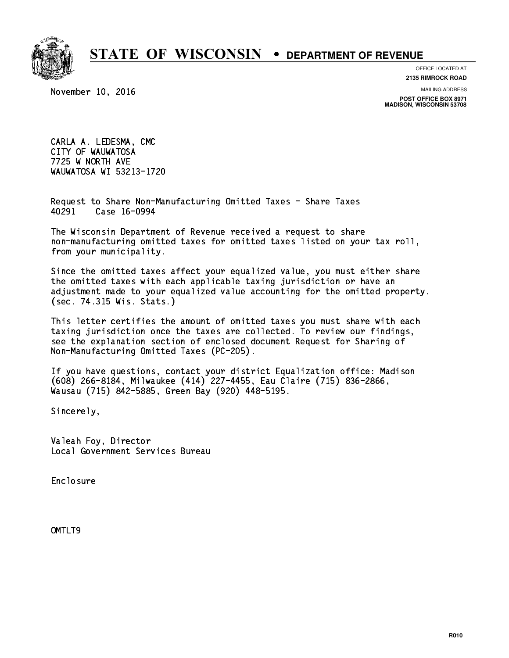

**OFFICE LOCATED AT**

November 10, 2016

**2135 RIMROCK ROAD**

**MAILING ADDRESS**

**POST OFFICE BOX 8971 MADISON, WISCONSIN 53708**

 CARLA A. LEDESMA, CMC CITY OF WAUWATOSA 7725 W NORTH AVE WAUWATOSA WI 53213-1720

 Request to Share Non-Manufacturing Omitted Taxes - Share Taxes 40291 Case 16-0994

 The Wisconsin Department of Revenue received a request to share non-manufacturing omitted taxes for omitted taxes listed on your tax roll, from your municipality.

 Since the omitted taxes affect your equalized value, you must either share the omitted taxes with each applicable taxing jurisdiction or have an adjustment made to your equalized value accounting for the omitted property. (sec. 74.315 Wis. Stats.)

 This letter certifies the amount of omitted taxes you must share with each taxing jurisdiction once the taxes are collected. To review our findings, see the explanation section of enclosed document Request for Sharing of Non-Manufacturing Omitted Taxes (PC-205).

 If you have questions, contact your district Equalization office: Madison (608) 266-8184, Milwaukee (414) 227-4455, Eau Claire (715) 836-2866, Wausau (715) 842-5885, Green Bay (920) 448-5195.

Sincerely,

 Valeah Foy, Director Local Government Services Bureau

Enclosure Enclosure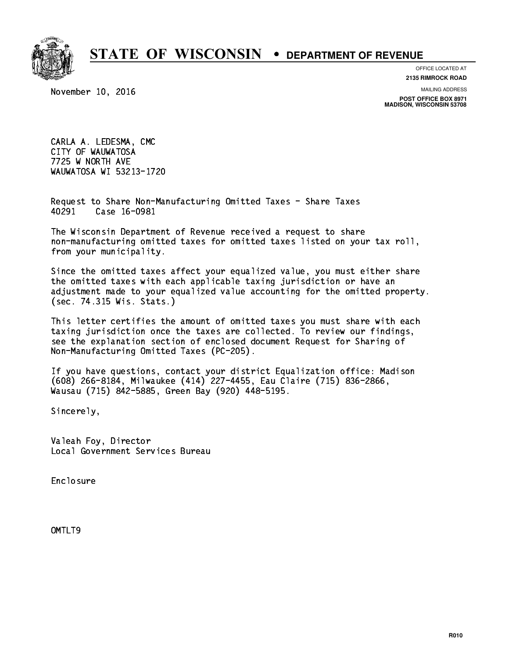

**OFFICE LOCATED AT**

November 10, 2016

**2135 RIMROCK ROAD**

**MAILING ADDRESS**

**POST OFFICE BOX 8971 MADISON, WISCONSIN 53708**

 CARLA A. LEDESMA, CMC CITY OF WAUWATOSA 7725 W NORTH AVE WAUWATOSA WI 53213-1720

 Request to Share Non-Manufacturing Omitted Taxes - Share Taxes 40291 Case 16-0981

 The Wisconsin Department of Revenue received a request to share non-manufacturing omitted taxes for omitted taxes listed on your tax roll, from your municipality.

 Since the omitted taxes affect your equalized value, you must either share the omitted taxes with each applicable taxing jurisdiction or have an adjustment made to your equalized value accounting for the omitted property. (sec. 74.315 Wis. Stats.)

 This letter certifies the amount of omitted taxes you must share with each taxing jurisdiction once the taxes are collected. To review our findings, see the explanation section of enclosed document Request for Sharing of Non-Manufacturing Omitted Taxes (PC-205).

 If you have questions, contact your district Equalization office: Madison (608) 266-8184, Milwaukee (414) 227-4455, Eau Claire (715) 836-2866, Wausau (715) 842-5885, Green Bay (920) 448-5195.

Sincerely,

 Valeah Foy, Director Local Government Services Bureau

Enclosure Enclosure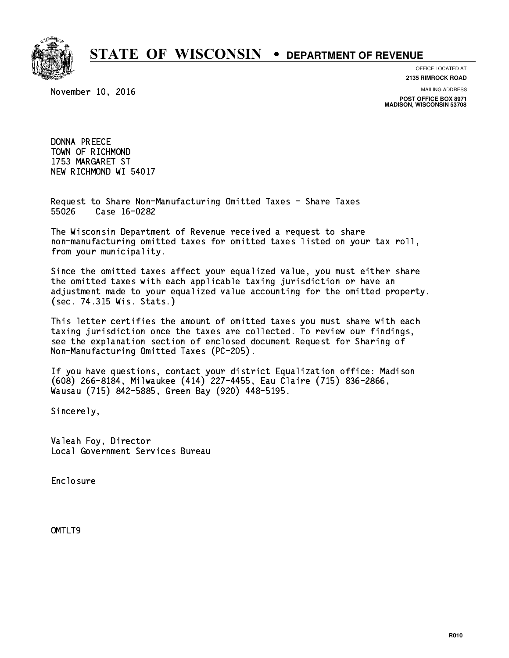

**OFFICE LOCATED AT**

November 10, 2016

**2135 RIMROCK ROAD**

**MAILING ADDRESS POST OFFICE BOX 8971 MADISON, WISCONSIN 53708**

 DONNA PREECE TOWN OF RICHMOND 1753 MARGARET ST NEW RICHMOND WI 54017 new richmond with the state of the state of the state of the state of the state of the state of the state of t

 Request to Share Non-Manufacturing Omitted Taxes - Share Taxes 55026 Case 16-0282

 The Wisconsin Department of Revenue received a request to share non-manufacturing omitted taxes for omitted taxes listed on your tax roll, from your municipality.

 Since the omitted taxes affect your equalized value, you must either share the omitted taxes with each applicable taxing jurisdiction or have an adjustment made to your equalized value accounting for the omitted property. (sec. 74.315 Wis. Stats.)

 This letter certifies the amount of omitted taxes you must share with each taxing jurisdiction once the taxes are collected. To review our findings, see the explanation section of enclosed document Request for Sharing of Non-Manufacturing Omitted Taxes (PC-205).

 If you have questions, contact your district Equalization office: Madison (608) 266-8184, Milwaukee (414) 227-4455, Eau Claire (715) 836-2866, Wausau (715) 842-5885, Green Bay (920) 448-5195.

Sincerely,

 Valeah Foy, Director Local Government Services Bureau

Enclosure Enclosure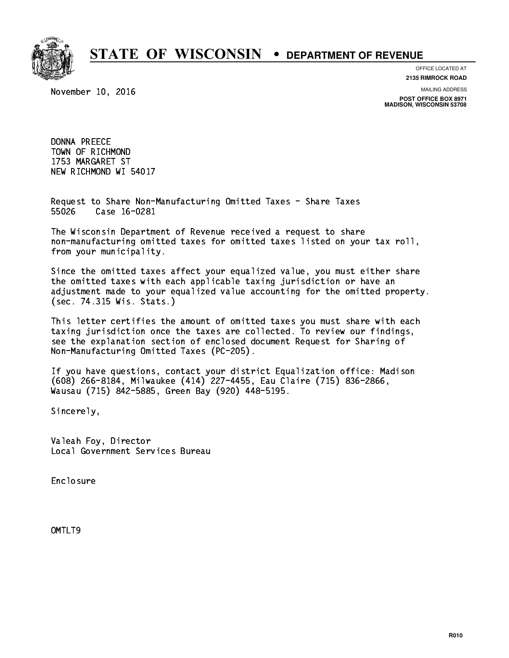

**OFFICE LOCATED AT**

November 10, 2016

**2135 RIMROCK ROAD**

**MAILING ADDRESS**

**POST OFFICE BOX 8971 MADISON, WISCONSIN 53708**

 DONNA PREECE TOWN OF RICHMOND 1753 MARGARET ST NEW RICHMOND WI 54017 new richmond with the state of the state of the state of the state of the state of the state of the state of t

 Request to Share Non-Manufacturing Omitted Taxes - Share Taxes 55026 Case 16-0281

 The Wisconsin Department of Revenue received a request to share non-manufacturing omitted taxes for omitted taxes listed on your tax roll, from your municipality.

 Since the omitted taxes affect your equalized value, you must either share the omitted taxes with each applicable taxing jurisdiction or have an adjustment made to your equalized value accounting for the omitted property. (sec. 74.315 Wis. Stats.)

 This letter certifies the amount of omitted taxes you must share with each taxing jurisdiction once the taxes are collected. To review our findings, see the explanation section of enclosed document Request for Sharing of Non-Manufacturing Omitted Taxes (PC-205).

 If you have questions, contact your district Equalization office: Madison (608) 266-8184, Milwaukee (414) 227-4455, Eau Claire (715) 836-2866, Wausau (715) 842-5885, Green Bay (920) 448-5195.

Sincerely,

 Valeah Foy, Director Local Government Services Bureau

Enclosure Enclosure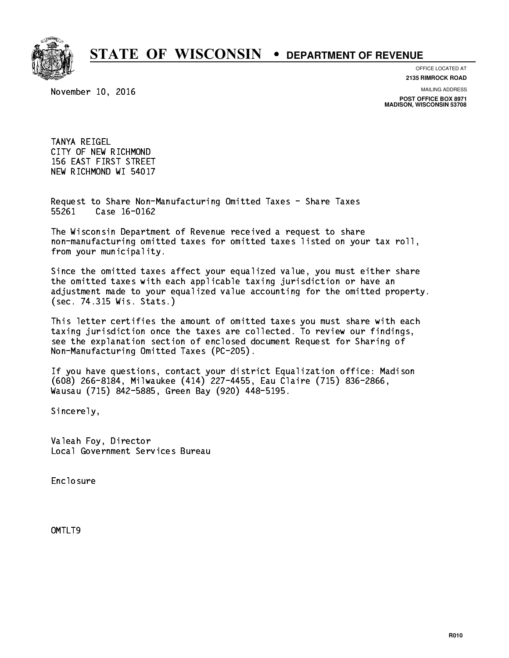

**OFFICE LOCATED AT**

**2135 RIMROCK ROAD**

November 10, 2016

**MAILING ADDRESS**

**POST OFFICE BOX 8971 MADISON, WISCONSIN 53708**

 TANYA REIGEL CITY OF NEW RICHMOND 156 EAST FIRST STREET NEW RICHMOND WI 54017

 Request to Share Non-Manufacturing Omitted Taxes - Share Taxes 55261 Case 16-0162

 The Wisconsin Department of Revenue received a request to share non-manufacturing omitted taxes for omitted taxes listed on your tax roll, from your municipality.

 Since the omitted taxes affect your equalized value, you must either share the omitted taxes with each applicable taxing jurisdiction or have an adjustment made to your equalized value accounting for the omitted property. (sec. 74.315 Wis. Stats.)

 This letter certifies the amount of omitted taxes you must share with each taxing jurisdiction once the taxes are collected. To review our findings, see the explanation section of enclosed document Request for Sharing of Non-Manufacturing Omitted Taxes (PC-205).

 If you have questions, contact your district Equalization office: Madison (608) 266-8184, Milwaukee (414) 227-4455, Eau Claire (715) 836-2866, Wausau (715) 842-5885, Green Bay (920) 448-5195.

Sincerely,

 Valeah Foy, Director Local Government Services Bureau

Enclosure Enclosure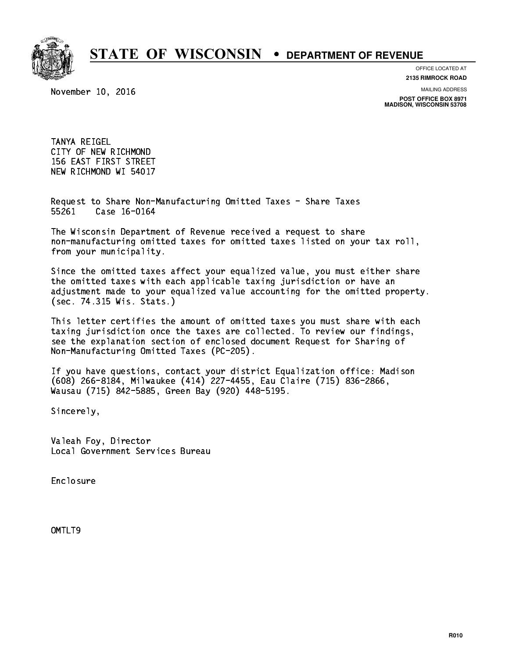

**OFFICE LOCATED AT**

**2135 RIMROCK ROAD**

November 10, 2016

**MAILING ADDRESS**

**POST OFFICE BOX 8971 MADISON, WISCONSIN 53708**

 TANYA REIGEL CITY OF NEW RICHMOND 156 EAST FIRST STREET NEW RICHMOND WI 54017

 Request to Share Non-Manufacturing Omitted Taxes - Share Taxes 55261 Case 16-0164

 The Wisconsin Department of Revenue received a request to share non-manufacturing omitted taxes for omitted taxes listed on your tax roll, from your municipality.

 Since the omitted taxes affect your equalized value, you must either share the omitted taxes with each applicable taxing jurisdiction or have an adjustment made to your equalized value accounting for the omitted property. (sec. 74.315 Wis. Stats.)

 This letter certifies the amount of omitted taxes you must share with each taxing jurisdiction once the taxes are collected. To review our findings, see the explanation section of enclosed document Request for Sharing of Non-Manufacturing Omitted Taxes (PC-205).

 If you have questions, contact your district Equalization office: Madison (608) 266-8184, Milwaukee (414) 227-4455, Eau Claire (715) 836-2866, Wausau (715) 842-5885, Green Bay (920) 448-5195.

Sincerely,

 Valeah Foy, Director Local Government Services Bureau

Enclosure Enclosure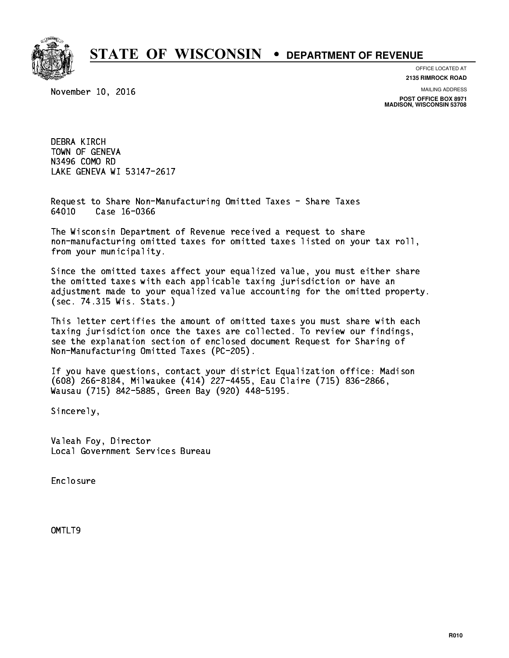

**OFFICE LOCATED AT**

November 10, 2016

**2135 RIMROCK ROAD**

**MAILING ADDRESS**

**POST OFFICE BOX 8971 MADISON, WISCONSIN 53708**

 DEBRA KIRCH TOWN OF GENEVA N3496 COMO RD n3496 COMO RD 2010 COMO RD 2010 COMO RD 2010 COMO RD 2010 COMO RD 2010 COMO RD 2010 COMO RD 2010 COMO RD 2010 LAKE GENEVA WI 53147-2617

 Request to Share Non-Manufacturing Omitted Taxes - Share Taxes 64010 Case 16-0366

 The Wisconsin Department of Revenue received a request to share non-manufacturing omitted taxes for omitted taxes listed on your tax roll, from your municipality.

 Since the omitted taxes affect your equalized value, you must either share the omitted taxes with each applicable taxing jurisdiction or have an adjustment made to your equalized value accounting for the omitted property. (sec. 74.315 Wis. Stats.)

 This letter certifies the amount of omitted taxes you must share with each taxing jurisdiction once the taxes are collected. To review our findings, see the explanation section of enclosed document Request for Sharing of Non-Manufacturing Omitted Taxes (PC-205).

 If you have questions, contact your district Equalization office: Madison (608) 266-8184, Milwaukee (414) 227-4455, Eau Claire (715) 836-2866, Wausau (715) 842-5885, Green Bay (920) 448-5195.

Sincerely,

 Valeah Foy, Director Local Government Services Bureau

Enclosure Enclosure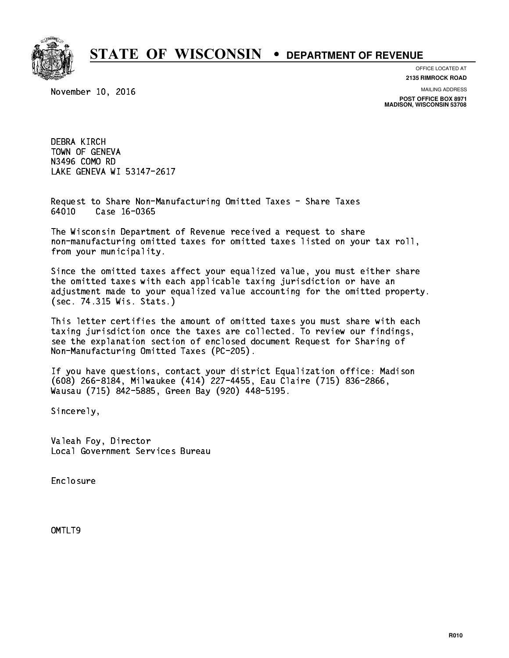

**OFFICE LOCATED AT**

November 10, 2016

**2135 RIMROCK ROAD**

**MAILING ADDRESS**

**POST OFFICE BOX 8971 MADISON, WISCONSIN 53708**

 DEBRA KIRCH TOWN OF GENEVA N3496 COMO RD n3496 COMO RD 2010 COMO RD 2010 COMO RD 2010 COMO RD 2010 COMO RD 2010 COMO RD 2010 COMO RD 2010 COMO RD 2010 LAKE GENEVA WI 53147-2617

 Request to Share Non-Manufacturing Omitted Taxes - Share Taxes 64010 Case 16-0365

 The Wisconsin Department of Revenue received a request to share non-manufacturing omitted taxes for omitted taxes listed on your tax roll, from your municipality.

 Since the omitted taxes affect your equalized value, you must either share the omitted taxes with each applicable taxing jurisdiction or have an adjustment made to your equalized value accounting for the omitted property. (sec. 74.315 Wis. Stats.)

 This letter certifies the amount of omitted taxes you must share with each taxing jurisdiction once the taxes are collected. To review our findings, see the explanation section of enclosed document Request for Sharing of Non-Manufacturing Omitted Taxes (PC-205).

 If you have questions, contact your district Equalization office: Madison (608) 266-8184, Milwaukee (414) 227-4455, Eau Claire (715) 836-2866, Wausau (715) 842-5885, Green Bay (920) 448-5195.

Sincerely,

 Valeah Foy, Director Local Government Services Bureau

Enclosure Enclosure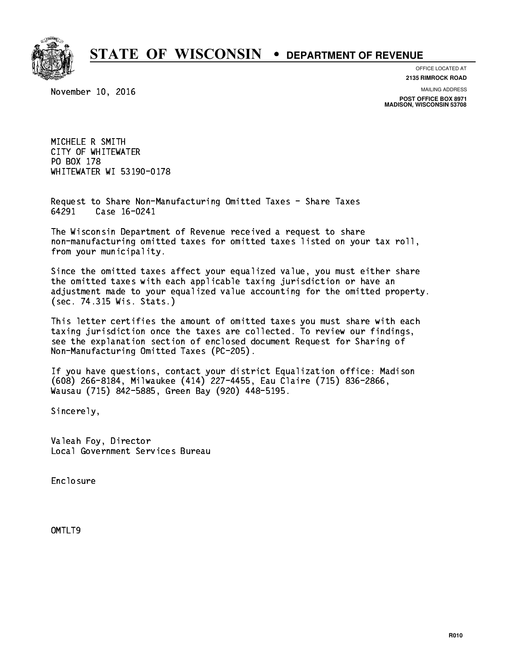

**OFFICE LOCATED AT**

**2135 RIMROCK ROAD**

November 10, 2016

**MAILING ADDRESS**

**POST OFFICE BOX 8971 MADISON, WISCONSIN 53708**

 MICHELE R SMITH CITY OF WHITEWATER PO BOX 178 PO BOX 178 WHITEWATER WI 53190-0178

 Request to Share Non-Manufacturing Omitted Taxes - Share Taxes 64291 Case 16-0241

 The Wisconsin Department of Revenue received a request to share non-manufacturing omitted taxes for omitted taxes listed on your tax roll, from your municipality.

 Since the omitted taxes affect your equalized value, you must either share the omitted taxes with each applicable taxing jurisdiction or have an adjustment made to your equalized value accounting for the omitted property. (sec. 74.315 Wis. Stats.)

 This letter certifies the amount of omitted taxes you must share with each taxing jurisdiction once the taxes are collected. To review our findings, see the explanation section of enclosed document Request for Sharing of Non-Manufacturing Omitted Taxes (PC-205).

 If you have questions, contact your district Equalization office: Madison (608) 266-8184, Milwaukee (414) 227-4455, Eau Claire (715) 836-2866, Wausau (715) 842-5885, Green Bay (920) 448-5195.

Sincerely,

 Valeah Foy, Director Local Government Services Bureau

Enclosure Enclosure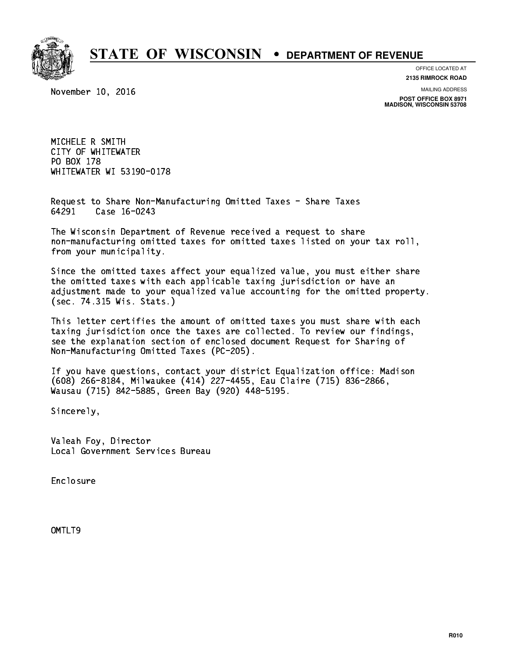

**OFFICE LOCATED AT**

**2135 RIMROCK ROAD**

November 10, 2016

**MAILING ADDRESS**

**POST OFFICE BOX 8971 MADISON, WISCONSIN 53708**

 MICHELE R SMITH CITY OF WHITEWATER PO BOX 178 PO BOX 178 WHITEWATER WI 53190-0178

 Request to Share Non-Manufacturing Omitted Taxes - Share Taxes 64291 Case 16-0243

 The Wisconsin Department of Revenue received a request to share non-manufacturing omitted taxes for omitted taxes listed on your tax roll, from your municipality.

 Since the omitted taxes affect your equalized value, you must either share the omitted taxes with each applicable taxing jurisdiction or have an adjustment made to your equalized value accounting for the omitted property. (sec. 74.315 Wis. Stats.)

 This letter certifies the amount of omitted taxes you must share with each taxing jurisdiction once the taxes are collected. To review our findings, see the explanation section of enclosed document Request for Sharing of Non-Manufacturing Omitted Taxes (PC-205).

 If you have questions, contact your district Equalization office: Madison (608) 266-8184, Milwaukee (414) 227-4455, Eau Claire (715) 836-2866, Wausau (715) 842-5885, Green Bay (920) 448-5195.

Sincerely,

 Valeah Foy, Director Local Government Services Bureau

Enclosure Enclosure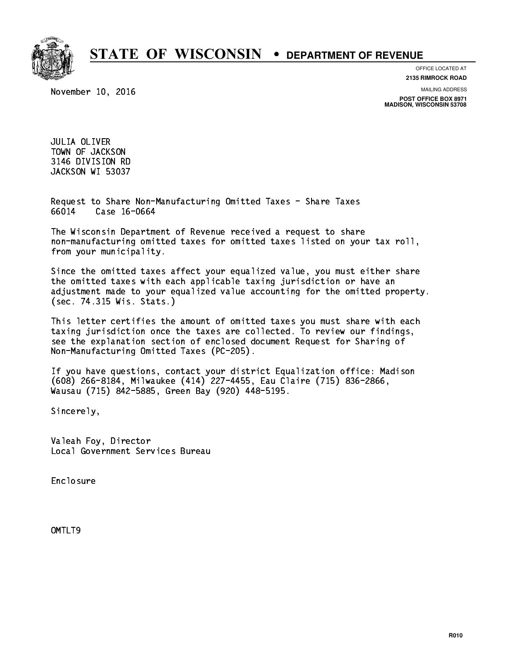

**OFFICE LOCATED AT**

November 10, 2016

**2135 RIMROCK ROAD**

**MAILING ADDRESS**

**POST OFFICE BOX 8971 MADISON, WISCONSIN 53708**

 JULIA OLIVER TOWN OF JACKSON 3146 DIVISION RD JACKSON WI 53037

 Request to Share Non-Manufacturing Omitted Taxes - Share Taxes 66014 Case 16-0664

 The Wisconsin Department of Revenue received a request to share non-manufacturing omitted taxes for omitted taxes listed on your tax roll, from your municipality.

 Since the omitted taxes affect your equalized value, you must either share the omitted taxes with each applicable taxing jurisdiction or have an adjustment made to your equalized value accounting for the omitted property. (sec. 74.315 Wis. Stats.)

 This letter certifies the amount of omitted taxes you must share with each taxing jurisdiction once the taxes are collected. To review our findings, see the explanation section of enclosed document Request for Sharing of Non-Manufacturing Omitted Taxes (PC-205).

 If you have questions, contact your district Equalization office: Madison (608) 266-8184, Milwaukee (414) 227-4455, Eau Claire (715) 836-2866, Wausau (715) 842-5885, Green Bay (920) 448-5195.

Sincerely,

 Valeah Foy, Director Local Government Services Bureau

Enclosure Enclosure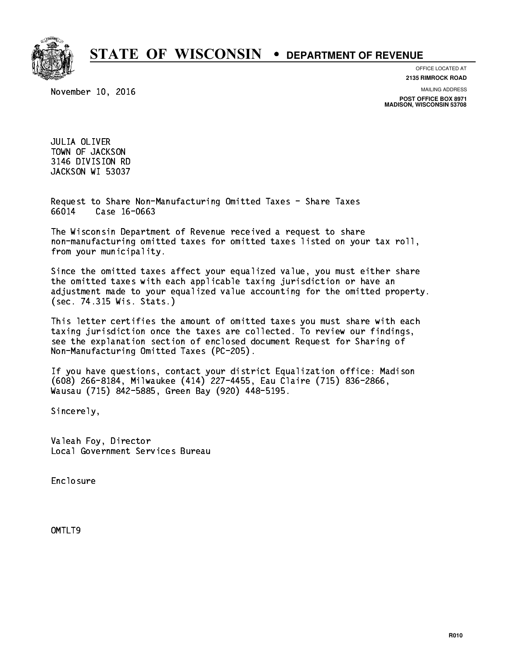

**OFFICE LOCATED AT**

November 10, 2016

**2135 RIMROCK ROAD**

**MAILING ADDRESS POST OFFICE BOX 8971 MADISON, WISCONSIN 53708**

 JULIA OLIVER TOWN OF JACKSON 3146 DIVISION RD JACKSON WI 53037

 Request to Share Non-Manufacturing Omitted Taxes - Share Taxes 66014 Case 16-0663

 The Wisconsin Department of Revenue received a request to share non-manufacturing omitted taxes for omitted taxes listed on your tax roll, from your municipality.

 Since the omitted taxes affect your equalized value, you must either share the omitted taxes with each applicable taxing jurisdiction or have an adjustment made to your equalized value accounting for the omitted property. (sec. 74.315 Wis. Stats.)

 This letter certifies the amount of omitted taxes you must share with each taxing jurisdiction once the taxes are collected. To review our findings, see the explanation section of enclosed document Request for Sharing of Non-Manufacturing Omitted Taxes (PC-205).

 If you have questions, contact your district Equalization office: Madison (608) 266-8184, Milwaukee (414) 227-4455, Eau Claire (715) 836-2866, Wausau (715) 842-5885, Green Bay (920) 448-5195.

Sincerely,

 Valeah Foy, Director Local Government Services Bureau

Enclosure Enclosure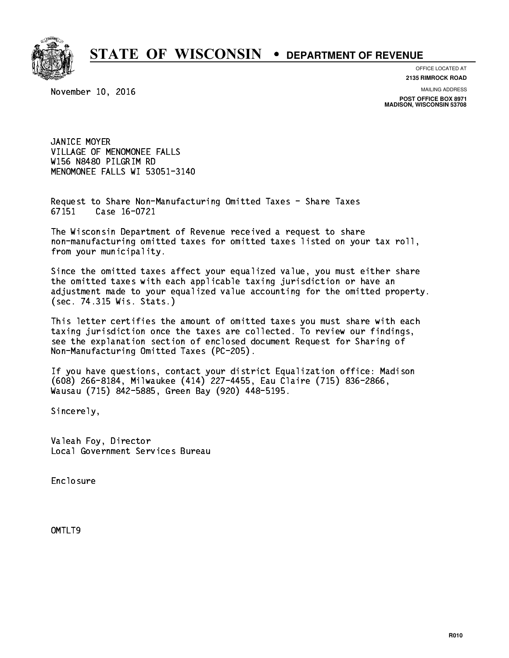

**OFFICE LOCATED AT**

November 10, 2016

**2135 RIMROCK ROAD**

**MAILING ADDRESS**

**POST OFFICE BOX 8971 MADISON, WISCONSIN 53708**

 JANICE MOYER VILLAGE OF MENOMONEE FALLS W156 N8480 PILGRIM RD MENOMONEE FALLS WI 53051-3140

 Request to Share Non-Manufacturing Omitted Taxes - Share Taxes 67151 Case 16-0721

 The Wisconsin Department of Revenue received a request to share non-manufacturing omitted taxes for omitted taxes listed on your tax roll, from your municipality.

 Since the omitted taxes affect your equalized value, you must either share the omitted taxes with each applicable taxing jurisdiction or have an adjustment made to your equalized value accounting for the omitted property. (sec. 74.315 Wis. Stats.)

 This letter certifies the amount of omitted taxes you must share with each taxing jurisdiction once the taxes are collected. To review our findings, see the explanation section of enclosed document Request for Sharing of Non-Manufacturing Omitted Taxes (PC-205).

 If you have questions, contact your district Equalization office: Madison (608) 266-8184, Milwaukee (414) 227-4455, Eau Claire (715) 836-2866, Wausau (715) 842-5885, Green Bay (920) 448-5195.

Sincerely,

 Valeah Foy, Director Local Government Services Bureau

Enclosure Enclosure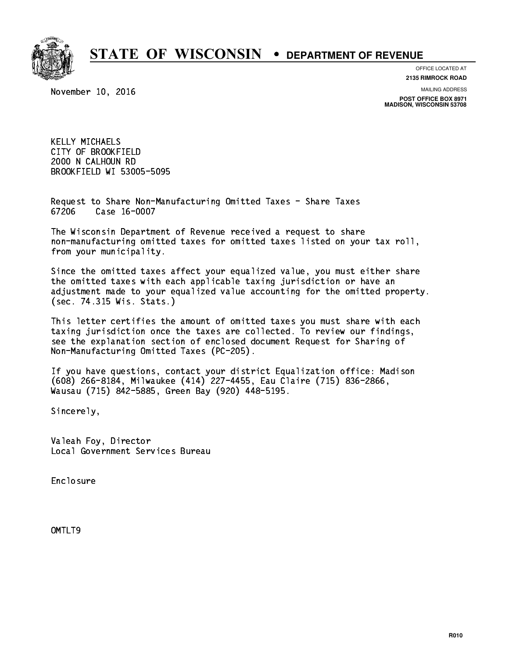

**OFFICE LOCATED AT**

**2135 RIMROCK ROAD**

November 10, 2016

**MAILING ADDRESS**

**POST OFFICE BOX 8971 MADISON, WISCONSIN 53708**

 KELLY MICHAELS CITY OF BROOKFIELD 2000 N CALHOUN RD BROOKFIELD WI 53005-5095

 Request to Share Non-Manufacturing Omitted Taxes - Share Taxes 67206 Case 16-0007

 The Wisconsin Department of Revenue received a request to share non-manufacturing omitted taxes for omitted taxes listed on your tax roll, from your municipality.

 Since the omitted taxes affect your equalized value, you must either share the omitted taxes with each applicable taxing jurisdiction or have an adjustment made to your equalized value accounting for the omitted property. (sec. 74.315 Wis. Stats.)

 This letter certifies the amount of omitted taxes you must share with each taxing jurisdiction once the taxes are collected. To review our findings, see the explanation section of enclosed document Request for Sharing of Non-Manufacturing Omitted Taxes (PC-205).

 If you have questions, contact your district Equalization office: Madison (608) 266-8184, Milwaukee (414) 227-4455, Eau Claire (715) 836-2866, Wausau (715) 842-5885, Green Bay (920) 448-5195.

Sincerely,

 Valeah Foy, Director Local Government Services Bureau

Enclosure Enclosure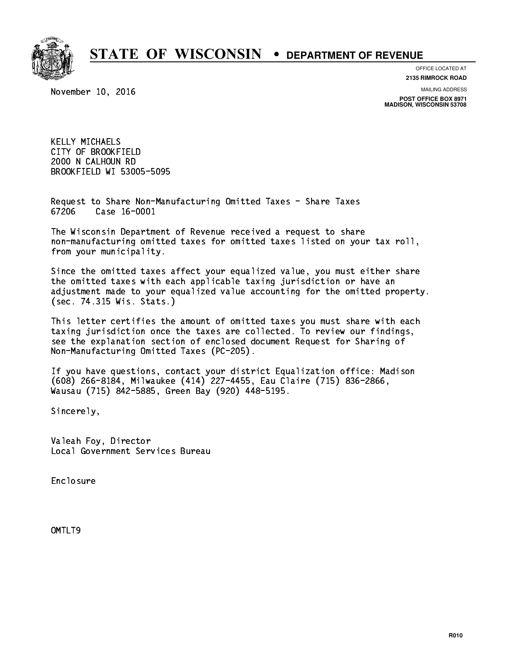

**OFFICE LOCATED AT**

**2135 RIMROCK ROAD**

November 10, 2016

**MAILING ADDRESS**

**POST OFFICE BOX 8971 MADISON, WISCONSIN 53708**

 KELLY MICHAELS CITY OF BROOKFIELD 2000 N CALHOUN RD BROOKFIELD WI 53005-5095

 Request to Share Non-Manufacturing Omitted Taxes - Share Taxes 67206 Case 16-0001

 The Wisconsin Department of Revenue received a request to share non-manufacturing omitted taxes for omitted taxes listed on your tax roll, from your municipality.

 Since the omitted taxes affect your equalized value, you must either share the omitted taxes with each applicable taxing jurisdiction or have an adjustment made to your equalized value accounting for the omitted property. (sec. 74.315 Wis. Stats.)

 This letter certifies the amount of omitted taxes you must share with each taxing jurisdiction once the taxes are collected. To review our findings, see the explanation section of enclosed document Request for Sharing of Non-Manufacturing Omitted Taxes (PC-205).

 If you have questions, contact your district Equalization office: Madison (608) 266-8184, Milwaukee (414) 227-4455, Eau Claire (715) 836-2866, Wausau (715) 842-5885, Green Bay (920) 448-5195.

Sincerely,

 Valeah Foy, Director Local Government Services Bureau

Enclosure Enclosure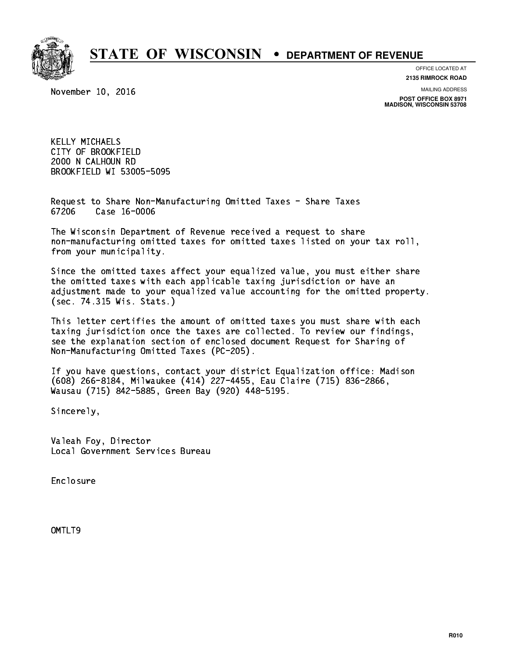

**OFFICE LOCATED AT**

**2135 RIMROCK ROAD**

November 10, 2016

**MAILING ADDRESS**

**POST OFFICE BOX 8971 MADISON, WISCONSIN 53708**

 KELLY MICHAELS CITY OF BROOKFIELD 2000 N CALHOUN RD BROOKFIELD WI 53005-5095

 Request to Share Non-Manufacturing Omitted Taxes - Share Taxes 67206 Case 16-0006

 The Wisconsin Department of Revenue received a request to share non-manufacturing omitted taxes for omitted taxes listed on your tax roll, from your municipality.

 Since the omitted taxes affect your equalized value, you must either share the omitted taxes with each applicable taxing jurisdiction or have an adjustment made to your equalized value accounting for the omitted property. (sec. 74.315 Wis. Stats.)

 This letter certifies the amount of omitted taxes you must share with each taxing jurisdiction once the taxes are collected. To review our findings, see the explanation section of enclosed document Request for Sharing of Non-Manufacturing Omitted Taxes (PC-205).

 If you have questions, contact your district Equalization office: Madison (608) 266-8184, Milwaukee (414) 227-4455, Eau Claire (715) 836-2866, Wausau (715) 842-5885, Green Bay (920) 448-5195.

Sincerely,

 Valeah Foy, Director Local Government Services Bureau

Enclosure Enclosure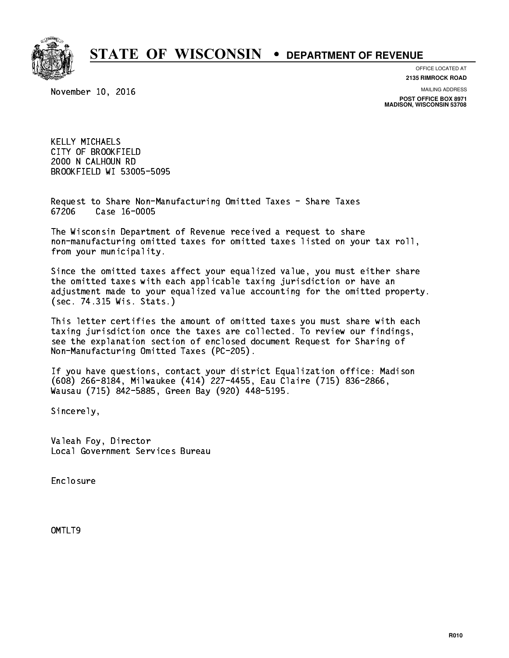

**OFFICE LOCATED AT**

**2135 RIMROCK ROAD**

November 10, 2016

**MAILING ADDRESS**

**POST OFFICE BOX 8971 MADISON, WISCONSIN 53708**

 KELLY MICHAELS CITY OF BROOKFIELD 2000 N CALHOUN RD BROOKFIELD WI 53005-5095

 Request to Share Non-Manufacturing Omitted Taxes - Share Taxes 67206 Case 16-0005

 The Wisconsin Department of Revenue received a request to share non-manufacturing omitted taxes for omitted taxes listed on your tax roll, from your municipality.

 Since the omitted taxes affect your equalized value, you must either share the omitted taxes with each applicable taxing jurisdiction or have an adjustment made to your equalized value accounting for the omitted property. (sec. 74.315 Wis. Stats.)

 This letter certifies the amount of omitted taxes you must share with each taxing jurisdiction once the taxes are collected. To review our findings, see the explanation section of enclosed document Request for Sharing of Non-Manufacturing Omitted Taxes (PC-205).

 If you have questions, contact your district Equalization office: Madison (608) 266-8184, Milwaukee (414) 227-4455, Eau Claire (715) 836-2866, Wausau (715) 842-5885, Green Bay (920) 448-5195.

Sincerely,

 Valeah Foy, Director Local Government Services Bureau

Enclosure Enclosure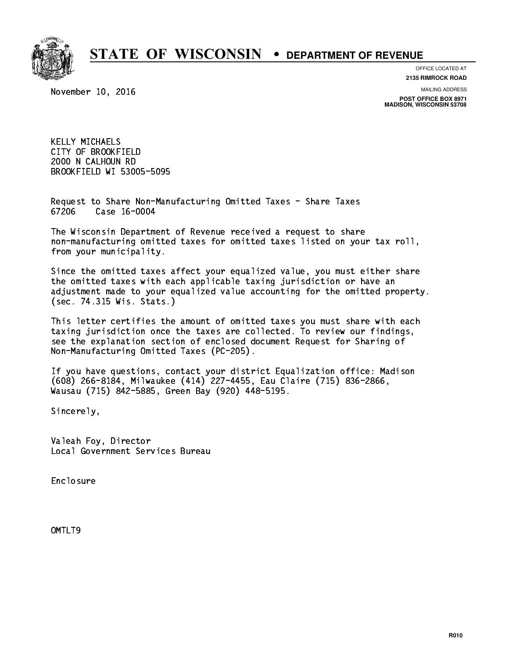

**OFFICE LOCATED AT**

**2135 RIMROCK ROAD**

November 10, 2016

**MAILING ADDRESS**

**POST OFFICE BOX 8971 MADISON, WISCONSIN 53708**

 KELLY MICHAELS CITY OF BROOKFIELD 2000 N CALHOUN RD BROOKFIELD WI 53005-5095

 Request to Share Non-Manufacturing Omitted Taxes - Share Taxes 67206 Case 16-0004

 The Wisconsin Department of Revenue received a request to share non-manufacturing omitted taxes for omitted taxes listed on your tax roll, from your municipality.

 Since the omitted taxes affect your equalized value, you must either share the omitted taxes with each applicable taxing jurisdiction or have an adjustment made to your equalized value accounting for the omitted property. (sec. 74.315 Wis. Stats.)

 This letter certifies the amount of omitted taxes you must share with each taxing jurisdiction once the taxes are collected. To review our findings, see the explanation section of enclosed document Request for Sharing of Non-Manufacturing Omitted Taxes (PC-205).

 If you have questions, contact your district Equalization office: Madison (608) 266-8184, Milwaukee (414) 227-4455, Eau Claire (715) 836-2866, Wausau (715) 842-5885, Green Bay (920) 448-5195.

Sincerely,

 Valeah Foy, Director Local Government Services Bureau

Enclosure Enclosure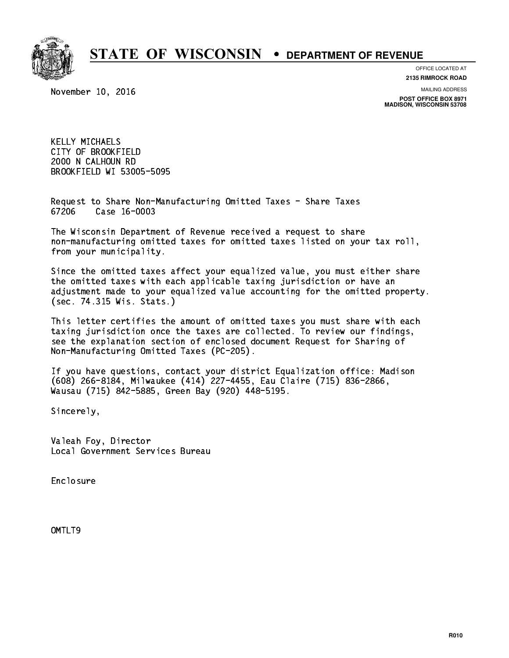

**OFFICE LOCATED AT**

**2135 RIMROCK ROAD**

November 10, 2016

**MAILING ADDRESS**

**POST OFFICE BOX 8971 MADISON, WISCONSIN 53708**

 KELLY MICHAELS CITY OF BROOKFIELD 2000 N CALHOUN RD BROOKFIELD WI 53005-5095

 Request to Share Non-Manufacturing Omitted Taxes - Share Taxes 67206 Case 16-0003

 The Wisconsin Department of Revenue received a request to share non-manufacturing omitted taxes for omitted taxes listed on your tax roll, from your municipality.

 Since the omitted taxes affect your equalized value, you must either share the omitted taxes with each applicable taxing jurisdiction or have an adjustment made to your equalized value accounting for the omitted property. (sec. 74.315 Wis. Stats.)

 This letter certifies the amount of omitted taxes you must share with each taxing jurisdiction once the taxes are collected. To review our findings, see the explanation section of enclosed document Request for Sharing of Non-Manufacturing Omitted Taxes (PC-205).

 If you have questions, contact your district Equalization office: Madison (608) 266-8184, Milwaukee (414) 227-4455, Eau Claire (715) 836-2866, Wausau (715) 842-5885, Green Bay (920) 448-5195.

Sincerely,

 Valeah Foy, Director Local Government Services Bureau

Enclosure Enclosure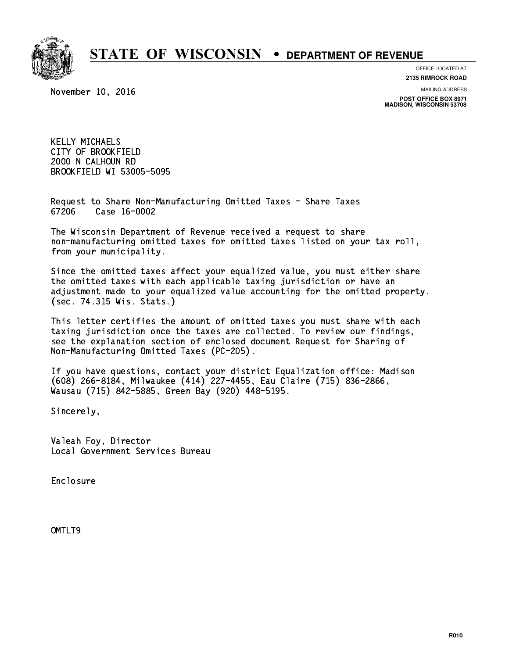

**OFFICE LOCATED AT**

**2135 RIMROCK ROAD**

November 10, 2016

**MAILING ADDRESS**

**POST OFFICE BOX 8971 MADISON, WISCONSIN 53708**

 KELLY MICHAELS CITY OF BROOKFIELD 2000 N CALHOUN RD BROOKFIELD WI 53005-5095

 Request to Share Non-Manufacturing Omitted Taxes - Share Taxes 67206 Case 16-0002

 The Wisconsin Department of Revenue received a request to share non-manufacturing omitted taxes for omitted taxes listed on your tax roll, from your municipality.

 Since the omitted taxes affect your equalized value, you must either share the omitted taxes with each applicable taxing jurisdiction or have an adjustment made to your equalized value accounting for the omitted property. (sec. 74.315 Wis. Stats.)

 This letter certifies the amount of omitted taxes you must share with each taxing jurisdiction once the taxes are collected. To review our findings, see the explanation section of enclosed document Request for Sharing of Non-Manufacturing Omitted Taxes (PC-205).

 If you have questions, contact your district Equalization office: Madison (608) 266-8184, Milwaukee (414) 227-4455, Eau Claire (715) 836-2866, Wausau (715) 842-5885, Green Bay (920) 448-5195.

Sincerely,

 Valeah Foy, Director Local Government Services Bureau

Enclosure Enclosure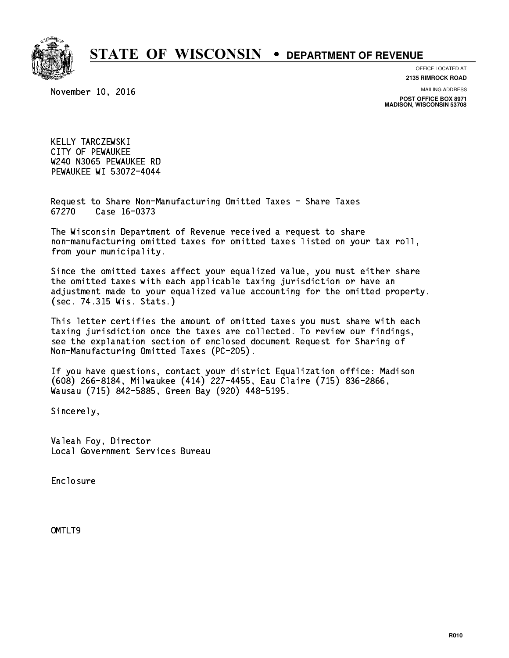

**OFFICE LOCATED AT**

**2135 RIMROCK ROAD**

November 10, 2016

**MAILING ADDRESS**

**POST OFFICE BOX 8971 MADISON, WISCONSIN 53708**

 KELLY TARCZEWSKI CITY OF PEWAUKEE W240 N3065 PEWAUKEE RD PEWAUKEE WI 53072-4044

 Request to Share Non-Manufacturing Omitted Taxes - Share Taxes 67270 Case 16-0373

 The Wisconsin Department of Revenue received a request to share non-manufacturing omitted taxes for omitted taxes listed on your tax roll, from your municipality.

 Since the omitted taxes affect your equalized value, you must either share the omitted taxes with each applicable taxing jurisdiction or have an adjustment made to your equalized value accounting for the omitted property. (sec. 74.315 Wis. Stats.)

 This letter certifies the amount of omitted taxes you must share with each taxing jurisdiction once the taxes are collected. To review our findings, see the explanation section of enclosed document Request for Sharing of Non-Manufacturing Omitted Taxes (PC-205).

 If you have questions, contact your district Equalization office: Madison (608) 266-8184, Milwaukee (414) 227-4455, Eau Claire (715) 836-2866, Wausau (715) 842-5885, Green Bay (920) 448-5195.

Sincerely,

 Valeah Foy, Director Local Government Services Bureau

Enclosure Enclosure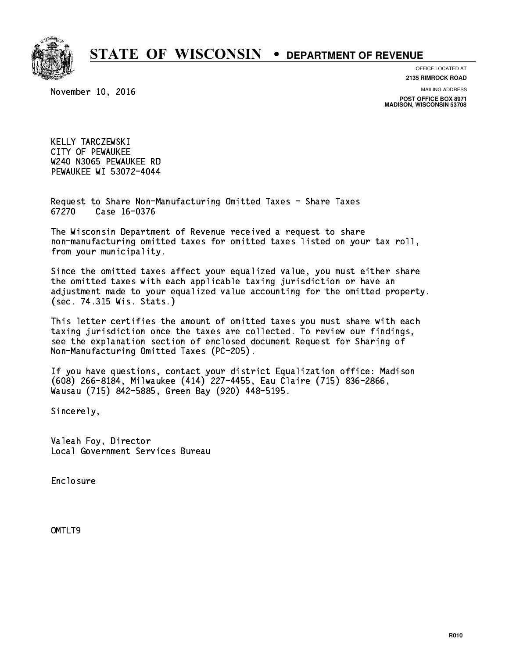**STATE OF WISCONSIN • DEPARTMENT OF REVENUE** 



**OFFICE LOCATED AT**

**2135 RIMROCK ROAD**

November 10, 2016

**MAILING ADDRESS**

**POST OFFICE BOX 8971 MADISON, WISCONSIN 53708**

 KELLY TARCZEWSKI CITY OF PEWAUKEE W240 N3065 PEWAUKEE RD PEWAUKEE WI 53072-4044

 Request to Share Non-Manufacturing Omitted Taxes - Share Taxes 67270 Case 16-0376

 The Wisconsin Department of Revenue received a request to share non-manufacturing omitted taxes for omitted taxes listed on your tax roll, from your municipality.

 Since the omitted taxes affect your equalized value, you must either share the omitted taxes with each applicable taxing jurisdiction or have an adjustment made to your equalized value accounting for the omitted property. (sec. 74.315 Wis. Stats.)

 This letter certifies the amount of omitted taxes you must share with each taxing jurisdiction once the taxes are collected. To review our findings, see the explanation section of enclosed document Request for Sharing of Non-Manufacturing Omitted Taxes (PC-205).

 If you have questions, contact your district Equalization office: Madison (608) 266-8184, Milwaukee (414) 227-4455, Eau Claire (715) 836-2866, Wausau (715) 842-5885, Green Bay (920) 448-5195.

Sincerely,

 Valeah Foy, Director Local Government Services Bureau

Enclosure Enclosure

OMTLT9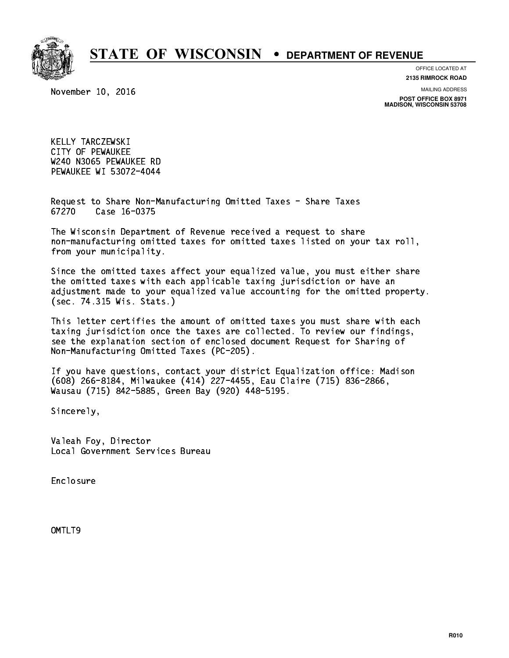**STATE OF WISCONSIN • DEPARTMENT OF REVENUE** 



**OFFICE LOCATED AT**

**2135 RIMROCK ROAD**

November 10, 2016

**MAILING ADDRESS**

**POST OFFICE BOX 8971 MADISON, WISCONSIN 53708**

 KELLY TARCZEWSKI CITY OF PEWAUKEE W240 N3065 PEWAUKEE RD PEWAUKEE WI 53072-4044

 Request to Share Non-Manufacturing Omitted Taxes - Share Taxes 67270 Case 16-0375

 The Wisconsin Department of Revenue received a request to share non-manufacturing omitted taxes for omitted taxes listed on your tax roll, from your municipality.

 Since the omitted taxes affect your equalized value, you must either share the omitted taxes with each applicable taxing jurisdiction or have an adjustment made to your equalized value accounting for the omitted property. (sec. 74.315 Wis. Stats.)

 This letter certifies the amount of omitted taxes you must share with each taxing jurisdiction once the taxes are collected. To review our findings, see the explanation section of enclosed document Request for Sharing of Non-Manufacturing Omitted Taxes (PC-205).

 If you have questions, contact your district Equalization office: Madison (608) 266-8184, Milwaukee (414) 227-4455, Eau Claire (715) 836-2866, Wausau (715) 842-5885, Green Bay (920) 448-5195.

Sincerely,

 Valeah Foy, Director Local Government Services Bureau

Enclosure Enclosure

OMTLT9